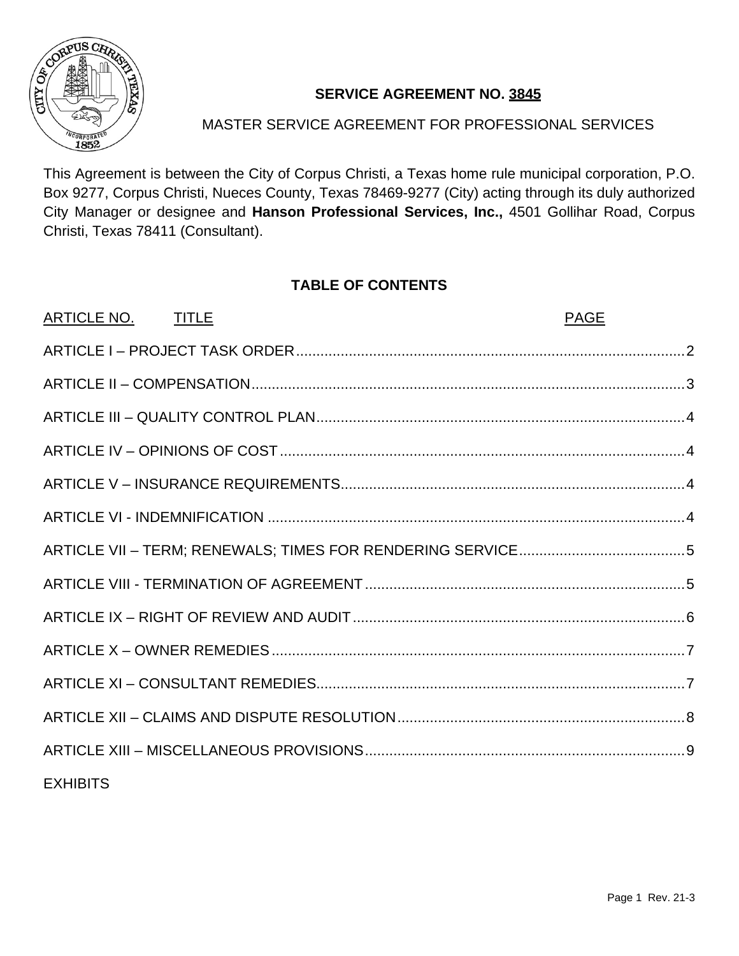

## **SERVICE AGREEMENT NO. 3845**

## MASTER SERVICE AGREEMENT FOR PROFESSIONAL SERVICES

This Agreement is between the City of Corpus Christi, a Texas home rule municipal corporation, P.O. Box 9277, Corpus Christi, Nueces County, Texas 78469-9277 (City) acting through its duly authorized City Manager or designee and **Hanson Professional Services, Inc.,** 4501 Gollihar Road, Corpus Christi, Texas 78411 (Consultant).

## **TABLE OF CONTENTS**

| ARTICLE NO. TITLE | <b>PAGE</b> |
|-------------------|-------------|
|                   |             |
|                   |             |
|                   |             |
|                   |             |
|                   |             |
|                   |             |
|                   |             |
|                   |             |
|                   |             |
|                   |             |
|                   |             |
|                   |             |
|                   |             |
| <b>EXHIBITS</b>   |             |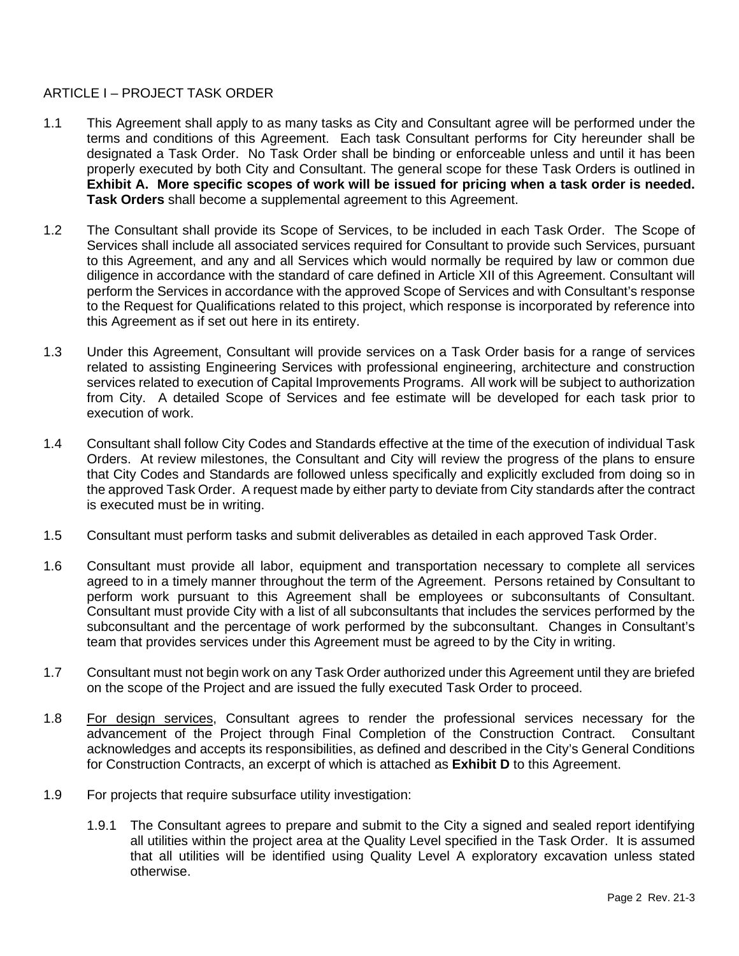### <span id="page-1-0"></span>ARTICLE I – PROJECT TASK ORDER

- 1.1 This Agreement shall apply to as many tasks as City and Consultant agree will be performed under the terms and conditions of this Agreement. Each task Consultant performs for City hereunder shall be designated a Task Order. No Task Order shall be binding or enforceable unless and until it has been properly executed by both City and Consultant. The general scope for these Task Orders is outlined in **Exhibit A. More specific scopes of work will be issued for pricing when a task order is needed. Task Orders** shall become a supplemental agreement to this Agreement.
- 1.2 The Consultant shall provide its Scope of Services, to be included in each Task Order. The Scope of Services shall include all associated services required for Consultant to provide such Services, pursuant to this Agreement, and any and all Services which would normally be required by law or common due diligence in accordance with the standard of care defined in Article XII of this Agreement. Consultant will perform the Services in accordance with the approved Scope of Services and with Consultant's response to the Request for Qualifications related to this project, which response is incorporated by reference into this Agreement as if set out here in its entirety.
- 1.3 Under this Agreement, Consultant will provide services on a Task Order basis for a range of services related to assisting Engineering Services with professional engineering, architecture and construction services related to execution of Capital Improvements Programs. All work will be subject to authorization from City. A detailed Scope of Services and fee estimate will be developed for each task prior to execution of work.
- 1.4 Consultant shall follow City Codes and Standards effective at the time of the execution of individual Task Orders. At review milestones, the Consultant and City will review the progress of the plans to ensure that City Codes and Standards are followed unless specifically and explicitly excluded from doing so in the approved Task Order. A request made by either party to deviate from City standards after the contract is executed must be in writing.
- 1.5 Consultant must perform tasks and submit deliverables as detailed in each approved Task Order.
- 1.6 Consultant must provide all labor, equipment and transportation necessary to complete all services agreed to in a timely manner throughout the term of the Agreement. Persons retained by Consultant to perform work pursuant to this Agreement shall be employees or subconsultants of Consultant. Consultant must provide City with a list of all subconsultants that includes the services performed by the subconsultant and the percentage of work performed by the subconsultant. Changes in Consultant's team that provides services under this Agreement must be agreed to by the City in writing.
- 1.7 Consultant must not begin work on any Task Order authorized under this Agreement until they are briefed on the scope of the Project and are issued the fully executed Task Order to proceed.
- 1.8 For design services, Consultant agrees to render the professional services necessary for the advancement of the Project through Final Completion of the Construction Contract. Consultant acknowledges and accepts its responsibilities, as defined and described in the City's General Conditions for Construction Contracts, an excerpt of which is attached as **Exhibit D** to this Agreement.
- 1.9 For projects that require subsurface utility investigation:
	- 1.9.1 The Consultant agrees to prepare and submit to the City a signed and sealed report identifying all utilities within the project area at the Quality Level specified in the Task Order. It is assumed that all utilities will be identified using Quality Level A exploratory excavation unless stated otherwise.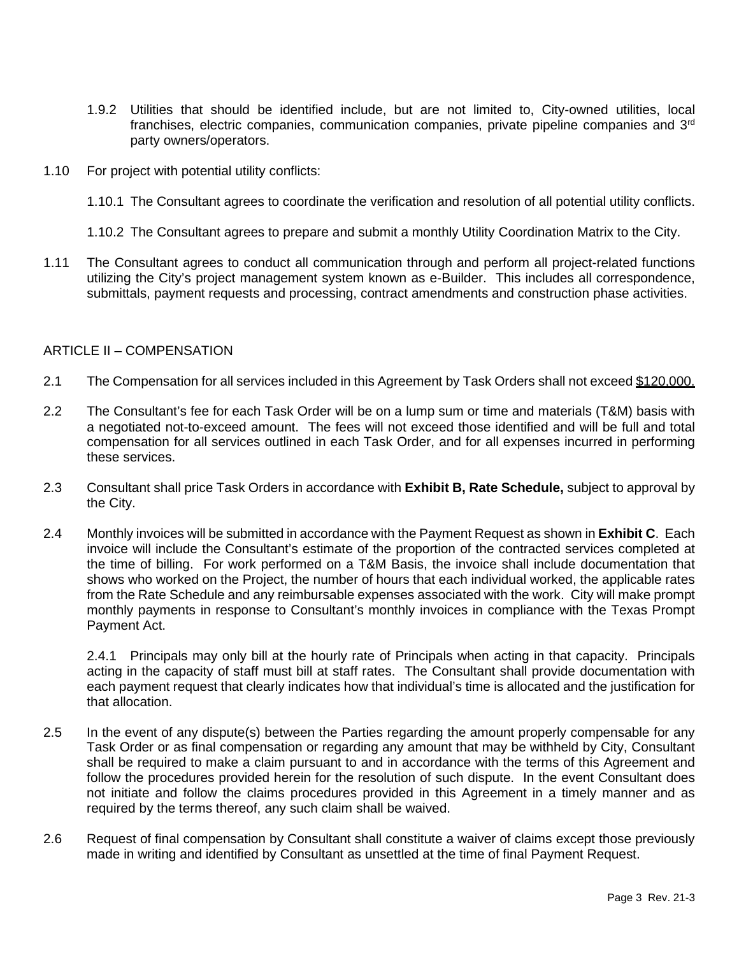- 1.9.2 Utilities that should be identified include, but are not limited to, City-owned utilities, local franchises, electric companies, communication companies, private pipeline companies and 3rd party owners/operators.
- 1.10 For project with potential utility conflicts:
	- 1.10.1 The Consultant agrees to coordinate the verification and resolution of all potential utility conflicts.
	- 1.10.2 The Consultant agrees to prepare and submit a monthly Utility Coordination Matrix to the City.
- 1.11 The Consultant agrees to conduct all communication through and perform all project-related functions utilizing the City's project management system known as e-Builder. This includes all correspondence, submittals, payment requests and processing, contract amendments and construction phase activities.

#### <span id="page-2-0"></span>ARTICLE II – COMPENSATION

- 2.1 The Compensation for all services included in this Agreement by Task Orders shall not exceed \$120,000.
- 2.2 The Consultant's fee for each Task Order will be on a lump sum or time and materials (T&M) basis with a negotiated not-to-exceed amount. The fees will not exceed those identified and will be full and total compensation for all services outlined in each Task Order, and for all expenses incurred in performing these services.
- 2.3 Consultant shall price Task Orders in accordance with **Exhibit B, Rate Schedule,** subject to approval by the City.
- 2.4 Monthly invoices will be submitted in accordance with the Payment Request as shown in **Exhibit C**. Each invoice will include the Consultant's estimate of the proportion of the contracted services completed at the time of billing. For work performed on a T&M Basis, the invoice shall include documentation that shows who worked on the Project, the number of hours that each individual worked, the applicable rates from the Rate Schedule and any reimbursable expenses associated with the work. City will make prompt monthly payments in response to Consultant's monthly invoices in compliance with the Texas Prompt Payment Act.

2.4.1 Principals may only bill at the hourly rate of Principals when acting in that capacity. Principals acting in the capacity of staff must bill at staff rates. The Consultant shall provide documentation with each payment request that clearly indicates how that individual's time is allocated and the justification for that allocation.

- 2.5 In the event of any dispute(s) between the Parties regarding the amount properly compensable for any Task Order or as final compensation or regarding any amount that may be withheld by City, Consultant shall be required to make a claim pursuant to and in accordance with the terms of this Agreement and follow the procedures provided herein for the resolution of such dispute. In the event Consultant does not initiate and follow the claims procedures provided in this Agreement in a timely manner and as required by the terms thereof, any such claim shall be waived.
- 2.6 Request of final compensation by Consultant shall constitute a waiver of claims except those previously made in writing and identified by Consultant as unsettled at the time of final Payment Request.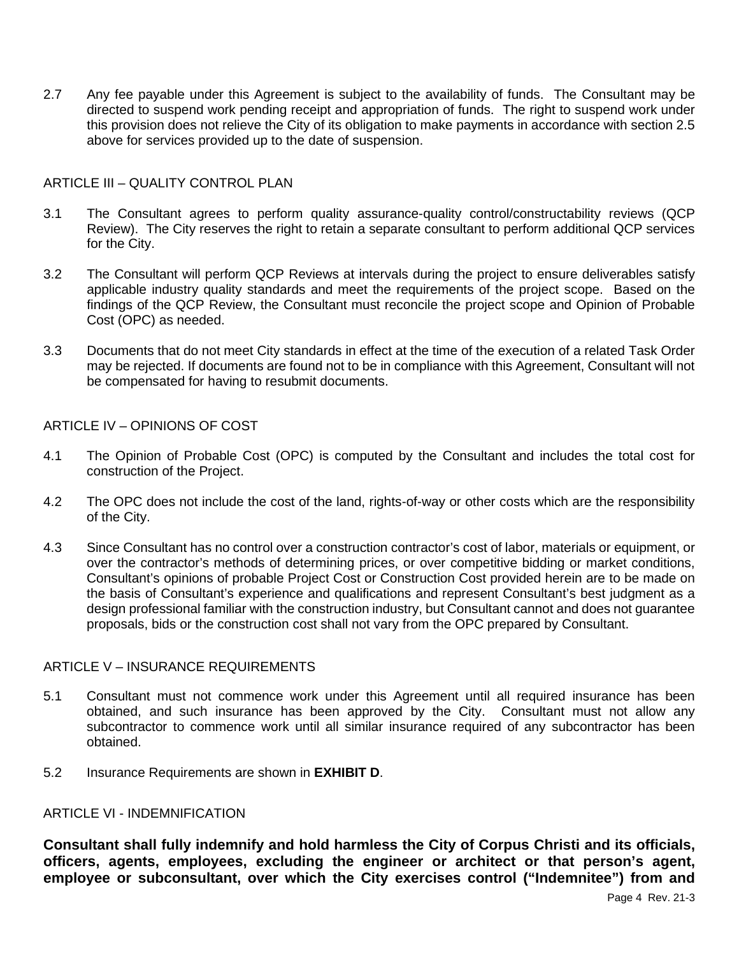2.7 Any fee payable under this Agreement is subject to the availability of funds. The Consultant may be directed to suspend work pending receipt and appropriation of funds. The right to suspend work under this provision does not relieve the City of its obligation to make payments in accordance with section 2.5 above for services provided up to the date of suspension.

#### <span id="page-3-0"></span>ARTICLE III – QUALITY CONTROL PLAN

- 3.1 The Consultant agrees to perform quality assurance-quality control/constructability reviews (QCP Review). The City reserves the right to retain a separate consultant to perform additional QCP services for the City.
- 3.2 The Consultant will perform QCP Reviews at intervals during the project to ensure deliverables satisfy applicable industry quality standards and meet the requirements of the project scope. Based on the findings of the QCP Review, the Consultant must reconcile the project scope and Opinion of Probable Cost (OPC) as needed.
- 3.3 Documents that do not meet City standards in effect at the time of the execution of a related Task Order may be rejected. If documents are found not to be in compliance with this Agreement, Consultant will not be compensated for having to resubmit documents.

#### <span id="page-3-1"></span>ARTICLE IV – OPINIONS OF COST

- 4.1 The Opinion of Probable Cost (OPC) is computed by the Consultant and includes the total cost for construction of the Project.
- 4.2 The OPC does not include the cost of the land, rights-of-way or other costs which are the responsibility of the City.
- 4.3 Since Consultant has no control over a construction contractor's cost of labor, materials or equipment, or over the contractor's methods of determining prices, or over competitive bidding or market conditions, Consultant's opinions of probable Project Cost or Construction Cost provided herein are to be made on the basis of Consultant's experience and qualifications and represent Consultant's best judgment as a design professional familiar with the construction industry, but Consultant cannot and does not guarantee proposals, bids or the construction cost shall not vary from the OPC prepared by Consultant.

#### <span id="page-3-2"></span>ARTICLE V – INSURANCE REQUIREMENTS

- 5.1 Consultant must not commence work under this Agreement until all required insurance has been obtained, and such insurance has been approved by the City. Consultant must not allow any subcontractor to commence work until all similar insurance required of any subcontractor has been obtained.
- 5.2 Insurance Requirements are shown in **EXHIBIT D**.

#### <span id="page-3-3"></span>ARTICLE VI - INDEMNIFICATION

**Consultant shall fully indemnify and hold harmless the City of Corpus Christi and its officials, officers, agents, employees, excluding the engineer or architect or that person's agent, employee or subconsultant, over which the City exercises control ("Indemnitee") from and**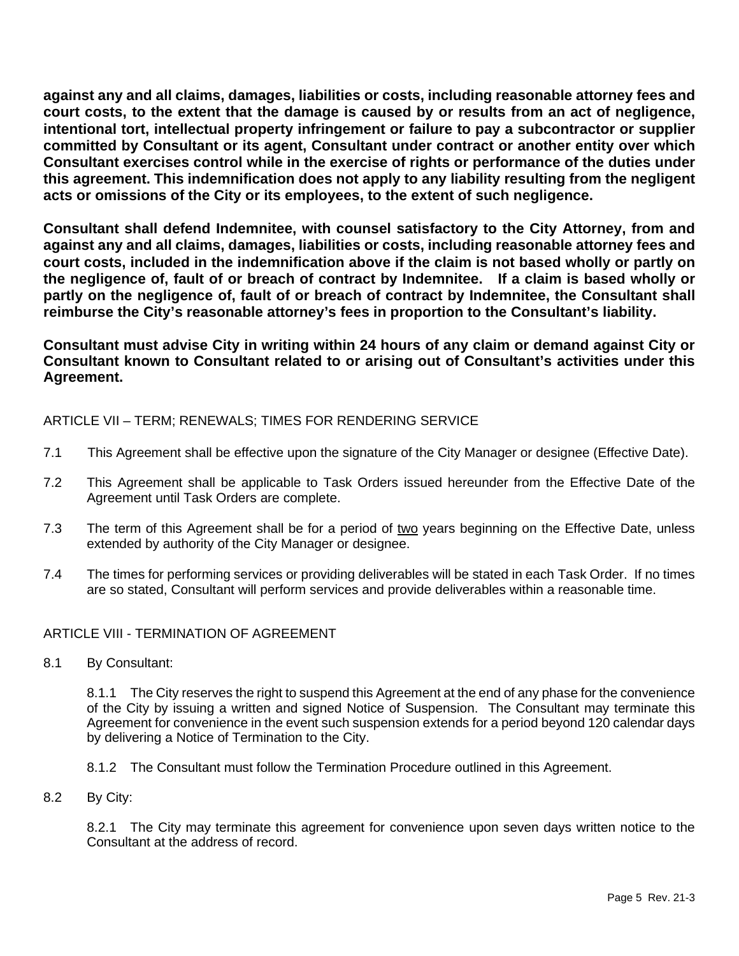**against any and all claims, damages, liabilities or costs, including reasonable attorney fees and court costs, to the extent that the damage is caused by or results from an act of negligence, intentional tort, intellectual property infringement or failure to pay a subcontractor or supplier committed by Consultant or its agent, Consultant under contract or another entity over which Consultant exercises control while in the exercise of rights or performance of the duties under this agreement. This indemnification does not apply to any liability resulting from the negligent acts or omissions of the City or its employees, to the extent of such negligence.** 

**Consultant shall defend Indemnitee, with counsel satisfactory to the City Attorney, from and against any and all claims, damages, liabilities or costs, including reasonable attorney fees and court costs, included in the indemnification above if the claim is not based wholly or partly on the negligence of, fault of or breach of contract by Indemnitee. If a claim is based wholly or partly on the negligence of, fault of or breach of contract by Indemnitee, the Consultant shall reimburse the City's reasonable attorney's fees in proportion to the Consultant's liability.**

**Consultant must advise City in writing within 24 hours of any claim or demand against City or Consultant known to Consultant related to or arising out of Consultant's activities under this Agreement.**

<span id="page-4-0"></span>ARTICLE VII – TERM; RENEWALS; TIMES FOR RENDERING SERVICE

- 7.1 This Agreement shall be effective upon the signature of the City Manager or designee (Effective Date).
- 7.2 This Agreement shall be applicable to Task Orders issued hereunder from the Effective Date of the Agreement until Task Orders are complete.
- 7.3 The term of this Agreement shall be for a period of two years beginning on the Effective Date, unless extended by authority of the City Manager or designee.
- 7.4 The times for performing services or providing deliverables will be stated in each Task Order. If no times are so stated, Consultant will perform services and provide deliverables within a reasonable time.

#### <span id="page-4-1"></span>ARTICLE VIII - TERMINATION OF AGREEMENT

8.1 By Consultant:

8.1.1 The City reserves the right to suspend this Agreement at the end of any phase for the convenience of the City by issuing a written and signed Notice of Suspension. The Consultant may terminate this Agreement for convenience in the event such suspension extends for a period beyond 120 calendar days by delivering a Notice of Termination to the City.

- 8.1.2 The Consultant must follow the Termination Procedure outlined in this Agreement.
- 8.2 By City:

8.2.1 The City may terminate this agreement for convenience upon seven days written notice to the Consultant at the address of record.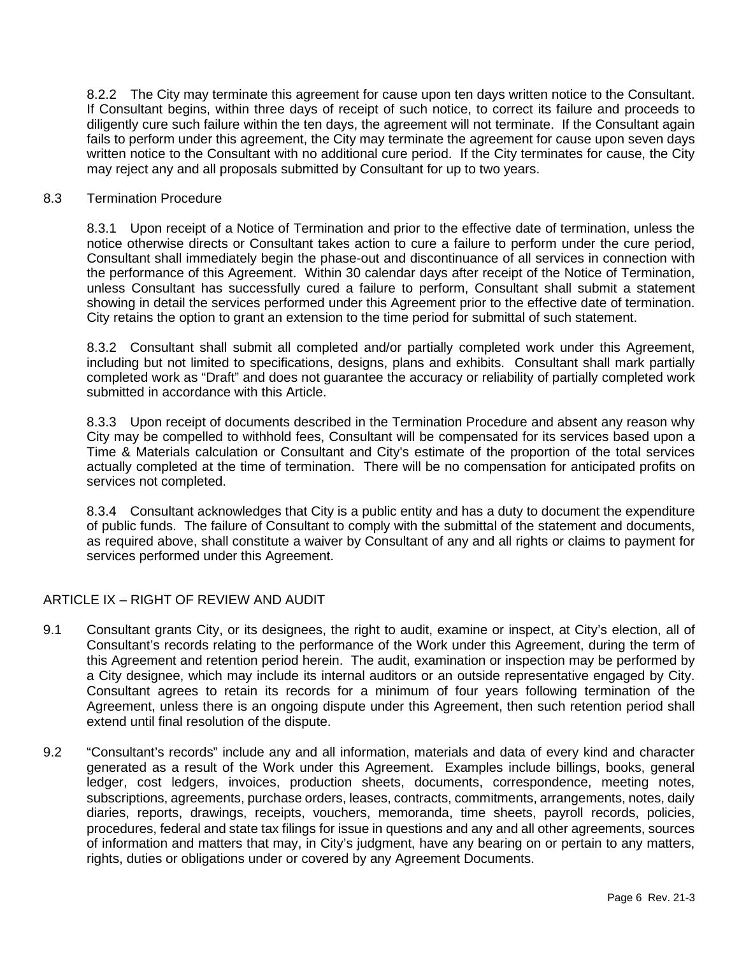8.2.2 The City may terminate this agreement for cause upon ten days written notice to the Consultant. If Consultant begins, within three days of receipt of such notice, to correct its failure and proceeds to diligently cure such failure within the ten days, the agreement will not terminate. If the Consultant again fails to perform under this agreement, the City may terminate the agreement for cause upon seven days written notice to the Consultant with no additional cure period. If the City terminates for cause, the City may reject any and all proposals submitted by Consultant for up to two years.

#### 8.3 Termination Procedure

8.3.1 Upon receipt of a Notice of Termination and prior to the effective date of termination, unless the notice otherwise directs or Consultant takes action to cure a failure to perform under the cure period, Consultant shall immediately begin the phase-out and discontinuance of all services in connection with the performance of this Agreement. Within 30 calendar days after receipt of the Notice of Termination, unless Consultant has successfully cured a failure to perform, Consultant shall submit a statement showing in detail the services performed under this Agreement prior to the effective date of termination. City retains the option to grant an extension to the time period for submittal of such statement.

8.3.2 Consultant shall submit all completed and/or partially completed work under this Agreement, including but not limited to specifications, designs, plans and exhibits. Consultant shall mark partially completed work as "Draft" and does not guarantee the accuracy or reliability of partially completed work submitted in accordance with this Article.

8.3.3 Upon receipt of documents described in the Termination Procedure and absent any reason why City may be compelled to withhold fees, Consultant will be compensated for its services based upon a Time & Materials calculation or Consultant and City's estimate of the proportion of the total services actually completed at the time of termination. There will be no compensation for anticipated profits on services not completed.

8.3.4 Consultant acknowledges that City is a public entity and has a duty to document the expenditure of public funds. The failure of Consultant to comply with the submittal of the statement and documents, as required above, shall constitute a waiver by Consultant of any and all rights or claims to payment for services performed under this Agreement.

#### <span id="page-5-0"></span>ARTICLE IX – RIGHT OF REVIEW AND AUDIT

- 9.1 Consultant grants City, or its designees, the right to audit, examine or inspect, at City's election, all of Consultant's records relating to the performance of the Work under this Agreement, during the term of this Agreement and retention period herein. The audit, examination or inspection may be performed by a City designee, which may include its internal auditors or an outside representative engaged by City. Consultant agrees to retain its records for a minimum of four years following termination of the Agreement, unless there is an ongoing dispute under this Agreement, then such retention period shall extend until final resolution of the dispute.
- 9.2 "Consultant's records" include any and all information, materials and data of every kind and character generated as a result of the Work under this Agreement. Examples include billings, books, general ledger, cost ledgers, invoices, production sheets, documents, correspondence, meeting notes, subscriptions, agreements, purchase orders, leases, contracts, commitments, arrangements, notes, daily diaries, reports, drawings, receipts, vouchers, memoranda, time sheets, payroll records, policies, procedures, federal and state tax filings for issue in questions and any and all other agreements, sources of information and matters that may, in City's judgment, have any bearing on or pertain to any matters, rights, duties or obligations under or covered by any Agreement Documents.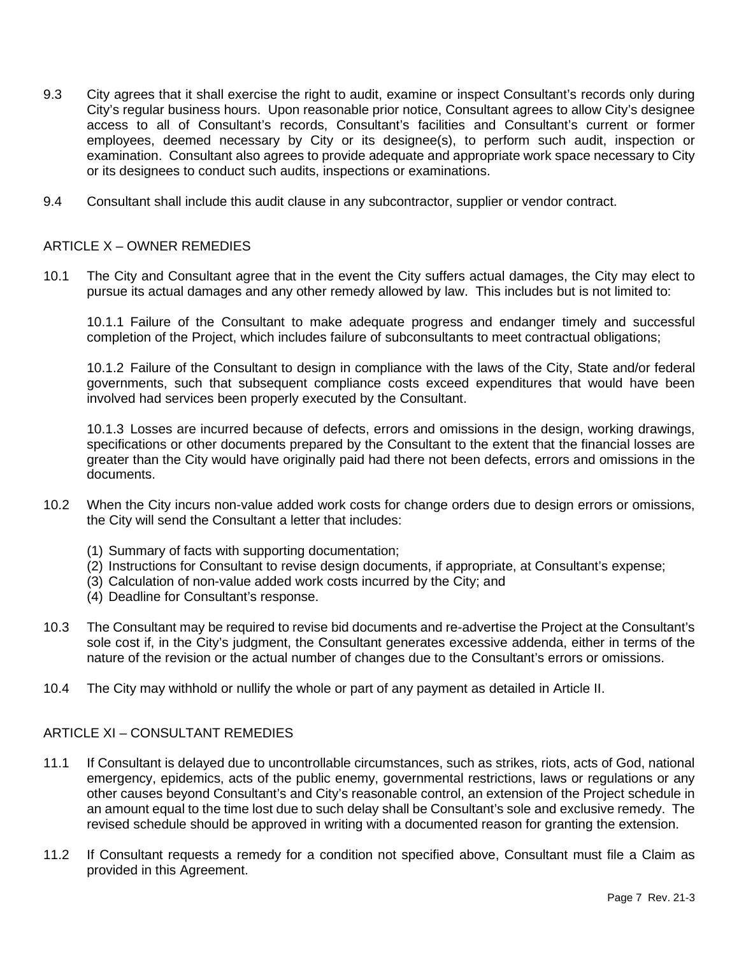- 9.3 City agrees that it shall exercise the right to audit, examine or inspect Consultant's records only during City's regular business hours. Upon reasonable prior notice, Consultant agrees to allow City's designee access to all of Consultant's records, Consultant's facilities and Consultant's current or former employees, deemed necessary by City or its designee(s), to perform such audit, inspection or examination. Consultant also agrees to provide adequate and appropriate work space necessary to City or its designees to conduct such audits, inspections or examinations.
- 9.4 Consultant shall include this audit clause in any subcontractor, supplier or vendor contract.

#### <span id="page-6-0"></span>ARTICLE X – OWNER REMEDIES

10.1 The City and Consultant agree that in the event the City suffers actual damages, the City may elect to pursue its actual damages and any other remedy allowed by law. This includes but is not limited to:

10.1.1 Failure of the Consultant to make adequate progress and endanger timely and successful completion of the Project, which includes failure of subconsultants to meet contractual obligations;

10.1.2 Failure of the Consultant to design in compliance with the laws of the City, State and/or federal governments, such that subsequent compliance costs exceed expenditures that would have been involved had services been properly executed by the Consultant.

10.1.3 Losses are incurred because of defects, errors and omissions in the design, working drawings, specifications or other documents prepared by the Consultant to the extent that the financial losses are greater than the City would have originally paid had there not been defects, errors and omissions in the documents.

- 10.2 When the City incurs non-value added work costs for change orders due to design errors or omissions, the City will send the Consultant a letter that includes:
	- (1) Summary of facts with supporting documentation;
	- (2) Instructions for Consultant to revise design documents, if appropriate, at Consultant's expense;
	- (3) Calculation of non-value added work costs incurred by the City; and
	- (4) Deadline for Consultant's response.
- 10.3 The Consultant may be required to revise bid documents and re-advertise the Project at the Consultant's sole cost if, in the City's judgment, the Consultant generates excessive addenda, either in terms of the nature of the revision or the actual number of changes due to the Consultant's errors or omissions.
- 10.4 The City may withhold or nullify the whole or part of any payment as detailed in Article II.

#### <span id="page-6-1"></span>ARTICLE XI – CONSULTANT REMEDIES

- 11.1 If Consultant is delayed due to uncontrollable circumstances, such as strikes, riots, acts of God, national emergency, epidemics, acts of the public enemy, governmental restrictions, laws or regulations or any other causes beyond Consultant's and City's reasonable control, an extension of the Project schedule in an amount equal to the time lost due to such delay shall be Consultant's sole and exclusive remedy. The revised schedule should be approved in writing with a documented reason for granting the extension.
- 11.2 If Consultant requests a remedy for a condition not specified above, Consultant must file a Claim as provided in this Agreement.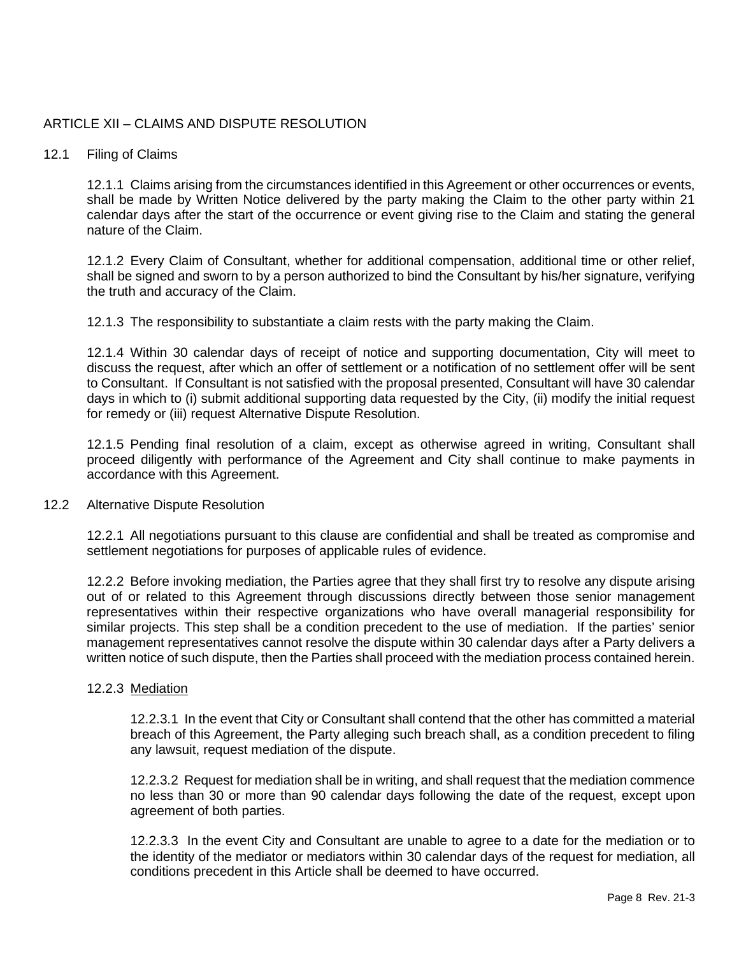#### <span id="page-7-0"></span>ARTICLE XII – CLAIMS AND DISPUTE RESOLUTION

#### 12.1 Filing of Claims

12.1.1 Claims arising from the circumstances identified in this Agreement or other occurrences or events, shall be made by Written Notice delivered by the party making the Claim to the other party within 21 calendar days after the start of the occurrence or event giving rise to the Claim and stating the general nature of the Claim.

12.1.2 Every Claim of Consultant, whether for additional compensation, additional time or other relief, shall be signed and sworn to by a person authorized to bind the Consultant by his/her signature, verifying the truth and accuracy of the Claim.

12.1.3 The responsibility to substantiate a claim rests with the party making the Claim.

12.1.4 Within 30 calendar days of receipt of notice and supporting documentation, City will meet to discuss the request, after which an offer of settlement or a notification of no settlement offer will be sent to Consultant. If Consultant is not satisfied with the proposal presented, Consultant will have 30 calendar days in which to (i) submit additional supporting data requested by the City, (ii) modify the initial request for remedy or (iii) request Alternative Dispute Resolution.

12.1.5 Pending final resolution of a claim, except as otherwise agreed in writing, Consultant shall proceed diligently with performance of the Agreement and City shall continue to make payments in accordance with this Agreement.

#### 12.2 Alternative Dispute Resolution

12.2.1 All negotiations pursuant to this clause are confidential and shall be treated as compromise and settlement negotiations for purposes of applicable rules of evidence.

12.2.2 Before invoking mediation, the Parties agree that they shall first try to resolve any dispute arising out of or related to this Agreement through discussions directly between those senior management representatives within their respective organizations who have overall managerial responsibility for similar projects. This step shall be a condition precedent to the use of mediation. If the parties' senior management representatives cannot resolve the dispute within 30 calendar days after a Party delivers a written notice of such dispute, then the Parties shall proceed with the mediation process contained herein.

#### 12.2.3 Mediation

12.2.3.1 In the event that City or Consultant shall contend that the other has committed a material breach of this Agreement, the Party alleging such breach shall, as a condition precedent to filing any lawsuit, request mediation of the dispute.

12.2.3.2 Request for mediation shall be in writing, and shall request that the mediation commence no less than 30 or more than 90 calendar days following the date of the request, except upon agreement of both parties.

12.2.3.3 In the event City and Consultant are unable to agree to a date for the mediation or to the identity of the mediator or mediators within 30 calendar days of the request for mediation, all conditions precedent in this Article shall be deemed to have occurred.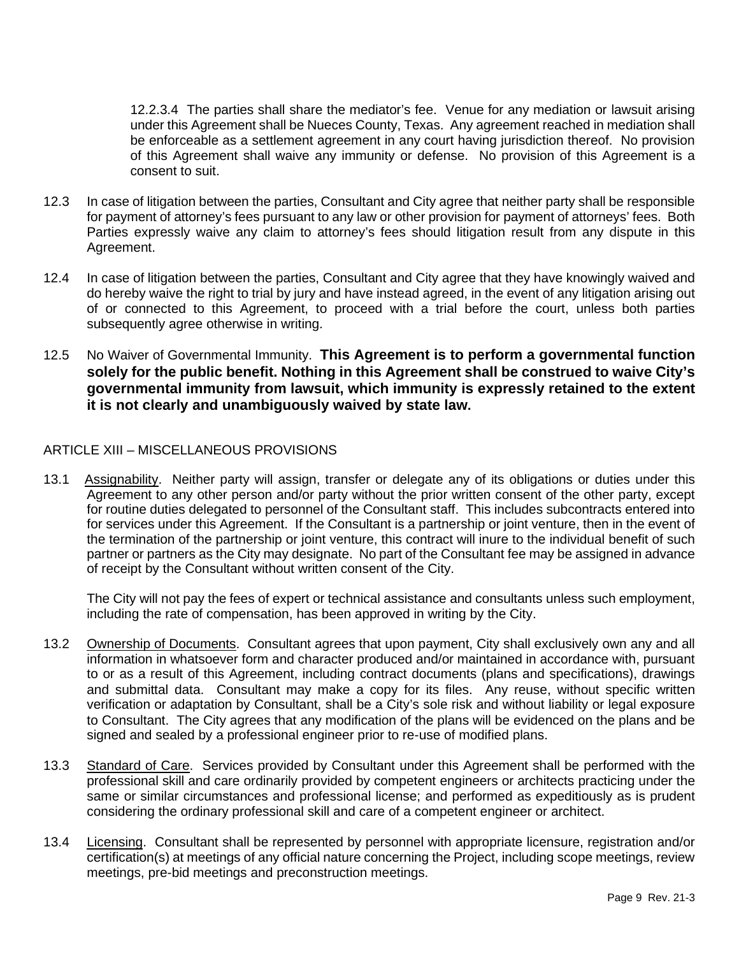12.2.3.4 The parties shall share the mediator's fee. Venue for any mediation or lawsuit arising under this Agreement shall be Nueces County, Texas. Any agreement reached in mediation shall be enforceable as a settlement agreement in any court having jurisdiction thereof. No provision of this Agreement shall waive any immunity or defense. No provision of this Agreement is a consent to suit.

- 12.3 In case of litigation between the parties, Consultant and City agree that neither party shall be responsible for payment of attorney's fees pursuant to any law or other provision for payment of attorneys' fees. Both Parties expressly waive any claim to attorney's fees should litigation result from any dispute in this Agreement.
- 12.4 In case of litigation between the parties, Consultant and City agree that they have knowingly waived and do hereby waive the right to trial by jury and have instead agreed, in the event of any litigation arising out of or connected to this Agreement, to proceed with a trial before the court, unless both parties subsequently agree otherwise in writing.
- 12.5 No Waiver of Governmental Immunity. **This Agreement is to perform a governmental function solely for the public benefit. Nothing in this Agreement shall be construed to waive City's governmental immunity from lawsuit, which immunity is expressly retained to the extent it is not clearly and unambiguously waived by state law.**

#### <span id="page-8-0"></span>ARTICLE XIII – MISCELLANEOUS PROVISIONS

13.1 Assignability. Neither party will assign, transfer or delegate any of its obligations or duties under this Agreement to any other person and/or party without the prior written consent of the other party, except for routine duties delegated to personnel of the Consultant staff. This includes subcontracts entered into for services under this Agreement. If the Consultant is a partnership or joint venture, then in the event of the termination of the partnership or joint venture, this contract will inure to the individual benefit of such partner or partners as the City may designate. No part of the Consultant fee may be assigned in advance of receipt by the Consultant without written consent of the City.

The City will not pay the fees of expert or technical assistance and consultants unless such employment, including the rate of compensation, has been approved in writing by the City.

- 13.2 Ownership of Documents. Consultant agrees that upon payment, City shall exclusively own any and all information in whatsoever form and character produced and/or maintained in accordance with, pursuant to or as a result of this Agreement, including contract documents (plans and specifications), drawings and submittal data. Consultant may make a copy for its files. Any reuse, without specific written verification or adaptation by Consultant, shall be a City's sole risk and without liability or legal exposure to Consultant. The City agrees that any modification of the plans will be evidenced on the plans and be signed and sealed by a professional engineer prior to re-use of modified plans.
- 13.3 Standard of Care. Services provided by Consultant under this Agreement shall be performed with the professional skill and care ordinarily provided by competent engineers or architects practicing under the same or similar circumstances and professional license; and performed as expeditiously as is prudent considering the ordinary professional skill and care of a competent engineer or architect.
- 13.4 Licensing. Consultant shall be represented by personnel with appropriate licensure, registration and/or certification(s) at meetings of any official nature concerning the Project, including scope meetings, review meetings, pre-bid meetings and preconstruction meetings.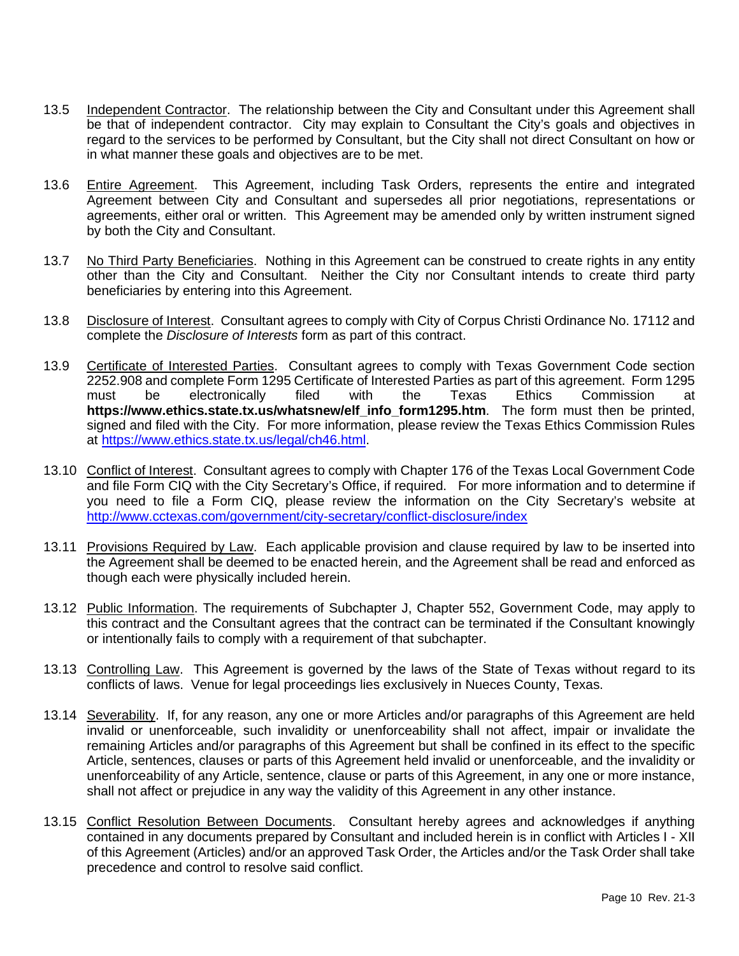- 13.5 Independent Contractor. The relationship between the City and Consultant under this Agreement shall be that of independent contractor. City may explain to Consultant the City's goals and objectives in regard to the services to be performed by Consultant, but the City shall not direct Consultant on how or in what manner these goals and objectives are to be met.
- 13.6 Entire Agreement. This Agreement, including Task Orders, represents the entire and integrated Agreement between City and Consultant and supersedes all prior negotiations, representations or agreements, either oral or written. This Agreement may be amended only by written instrument signed by both the City and Consultant.
- 13.7 No Third Party Beneficiaries. Nothing in this Agreement can be construed to create rights in any entity other than the City and Consultant. Neither the City nor Consultant intends to create third party beneficiaries by entering into this Agreement.
- 13.8 Disclosure of Interest. Consultant agrees to comply with City of Corpus Christi Ordinance No. 17112 and complete the *Disclosure of Interests* form as part of this contract.
- 13.9 Certificate of Interested Parties. Consultant agrees to comply with Texas Government Code section 2252.908 and complete Form 1295 Certificate of Interested Parties as part of this agreement. Form 1295 must be electronically filed with the Texas Ethics Commission at **https://www.ethics.state.tx.us/whatsnew/elf\_info\_form1295.htm**. The form must then be printed, signed and filed with the City. For more information, please review the Texas Ethics Commission Rules at [https://www.ethics.state.tx.us/legal/ch46.html.](https://www.ethics.state.tx.us/legal/ch46.html)
- 13.10 Conflict of Interest. Consultant agrees to comply with Chapter 176 of the Texas Local Government Code and file Form CIQ with the City Secretary's Office, if required. For more information and to determine if you need to file a Form CIQ, please review the information on the City Secretary's website at <http://www.cctexas.com/government/city-secretary/conflict-disclosure/index>
- 13.11 Provisions Required by Law. Each applicable provision and clause required by law to be inserted into the Agreement shall be deemed to be enacted herein, and the Agreement shall be read and enforced as though each were physically included herein.
- 13.12 Public Information. The requirements of Subchapter J, Chapter 552, Government Code, may apply to this contract and the Consultant agrees that the contract can be terminated if the Consultant knowingly or intentionally fails to comply with a requirement of that subchapter.
- 13.13 Controlling Law. This Agreement is governed by the laws of the State of Texas without regard to its conflicts of laws. Venue for legal proceedings lies exclusively in Nueces County, Texas.
- 13.14 Severability. If, for any reason, any one or more Articles and/or paragraphs of this Agreement are held invalid or unenforceable, such invalidity or unenforceability shall not affect, impair or invalidate the remaining Articles and/or paragraphs of this Agreement but shall be confined in its effect to the specific Article, sentences, clauses or parts of this Agreement held invalid or unenforceable, and the invalidity or unenforceability of any Article, sentence, clause or parts of this Agreement, in any one or more instance, shall not affect or prejudice in any way the validity of this Agreement in any other instance.
- 13.15 Conflict Resolution Between Documents. Consultant hereby agrees and acknowledges if anything contained in any documents prepared by Consultant and included herein is in conflict with Articles I - XII of this Agreement (Articles) and/or an approved Task Order, the Articles and/or the Task Order shall take precedence and control to resolve said conflict.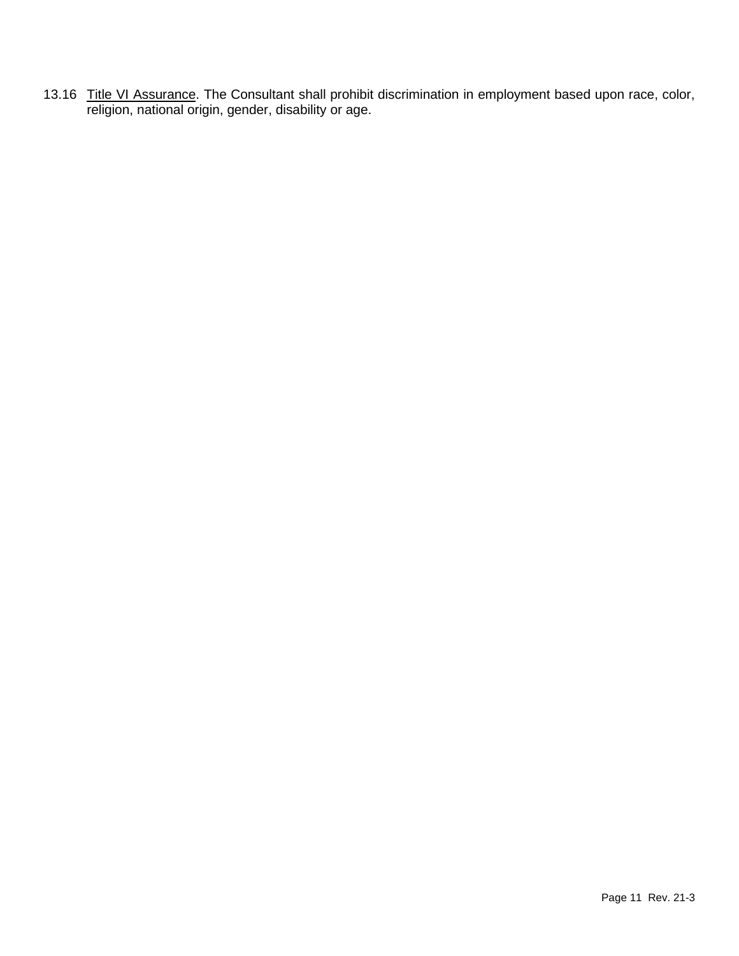13.16 Title VI Assurance. The Consultant shall prohibit discrimination in employment based upon race, color, religion, national origin, gender, disability or age.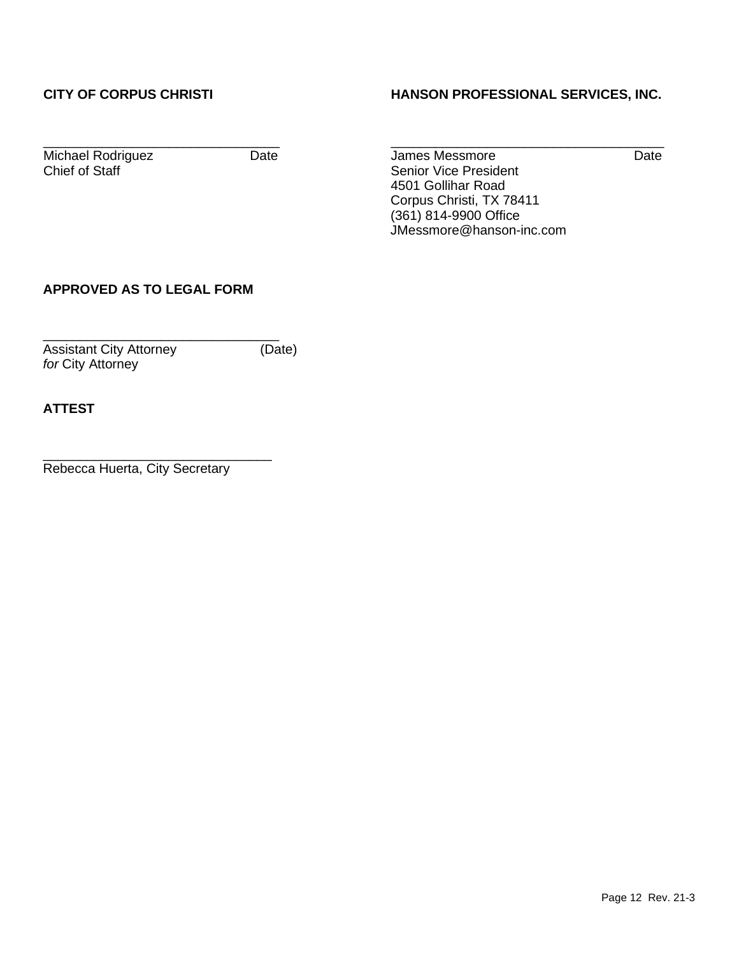## **CITY OF CORPUS CHRISTI HANSON PROFESSIONAL SERVICES, INC.**

\_\_\_\_\_\_\_\_\_\_\_\_\_\_\_\_\_\_\_\_\_\_\_\_\_\_\_\_\_\_\_\_ \_\_\_\_\_\_\_\_\_\_\_\_\_\_\_\_\_\_\_\_\_\_\_\_\_\_\_\_\_\_\_\_\_\_\_\_\_

Michael Rodriguez Date Date James Messmore Date Date Chief of Staff Senior Vice President 4501 Gollihar Road Corpus Christi, TX 78411 (361) 814-9900 Office JMessmore@hanson-inc.com

## **APPROVED AS TO LEGAL FORM**

\_\_\_\_\_\_\_\_\_\_\_\_\_\_\_\_\_\_\_\_\_\_\_\_\_\_\_\_\_\_\_\_ Assistant City Attorney (Date) *for* City Attorney

**ATTEST**

\_\_\_\_\_\_\_\_\_\_\_\_\_\_\_\_\_\_\_\_\_\_\_\_\_\_\_\_\_\_\_ Rebecca Huerta, City Secretary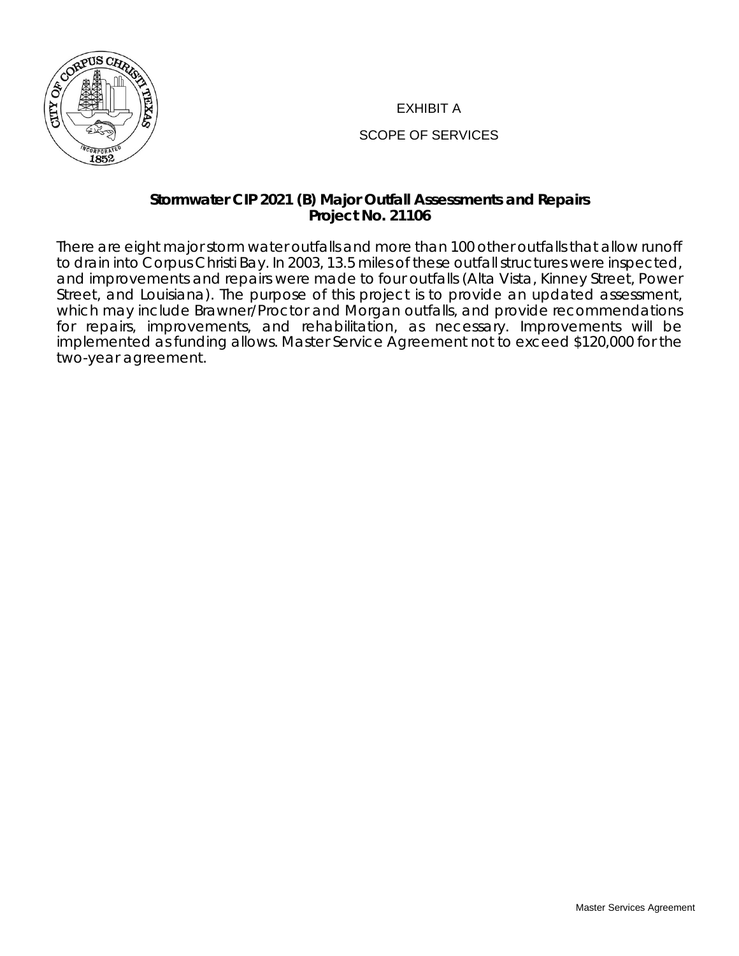

## EXHIBIT A

## SCOPE OF SERVICES

## **Stormwater CIP 2021 (B) Major Outfall Assessments and Repairs Project No. 21106**

There are eight major storm water outfalls and more than 100 other outfalls that allow runoff to drain into Corpus Christi Bay. In 2003, 13.5 miles of these outfall structures were inspected, and improvements and repairs were made to four outfalls (Alta Vista, Kinney Street, Power Street, and Louisiana). The purpose of this project is to provide an updated assessment, which may include Brawner/Proctor and Morgan outfalls, and provide recommendations for repairs, improvements, and rehabilitation, as necessary. Improvements will be implemented as funding allows. Master Service Agreement not to exceed \$120,000 for the two-year agreement.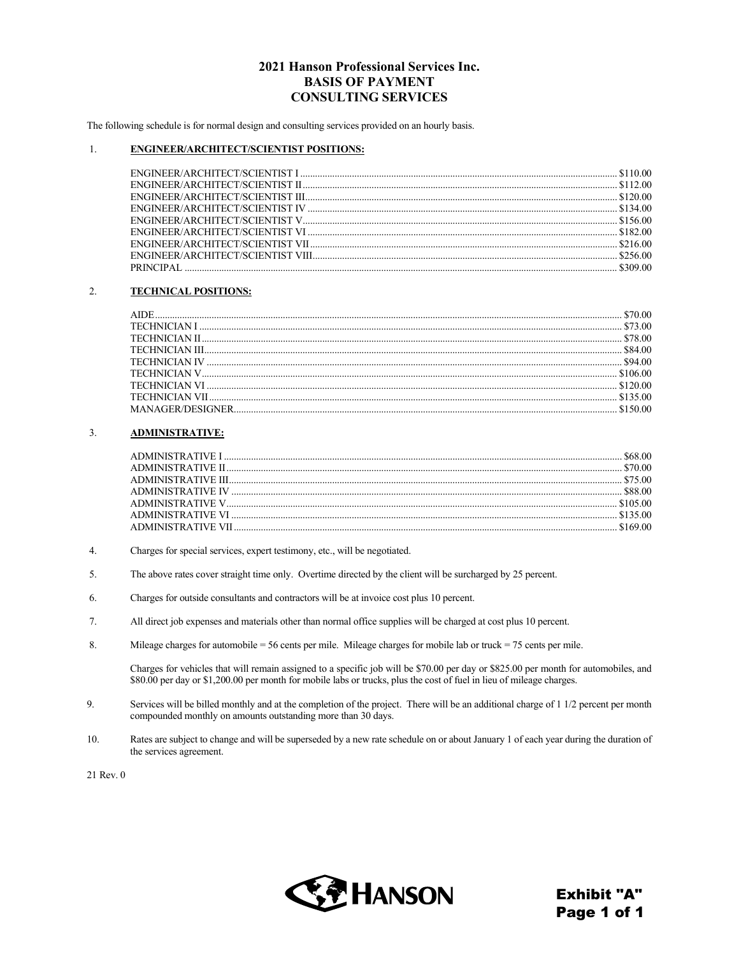#### 2021 Hanson Professional Services Inc. **BASIS OF PAYMENT CONSULTING SERVICES**

The following schedule is for normal design and consulting services provided on an hourly basis.

#### $1.$ **ENGINEER/ARCHITECT/SCIENTIST POSITIONS:**

#### $\overline{2}$ . **TECHNICAL POSITIONS:**

#### $3.$ **ADMINISTRATIVE:**

- $4.$ Charges for special services, expert testimony, etc., will be negotiated.
- 5. The above rates cover straight time only. Overtime directed by the client will be surcharged by 25 percent.
- 6. Charges for outside consultants and contractors will be at invoice cost plus 10 percent.
- All direct job expenses and materials other than normal office supplies will be charged at cost plus 10 percent.  $7.$
- 8. Mileage charges for automobile = 56 cents per mile. Mileage charges for mobile lab or truck = 75 cents per mile.

Charges for vehicles that will remain assigned to a specific job will be \$70.00 per day or \$825.00 per month for automobiles, and \$80.00 per day or \$1,200.00 per month for mobile labs or trucks, plus the cost of fuel in lieu of mileage charges.

- 9. Services will be billed monthly and at the completion of the project. There will be an additional charge of 1 1/2 percent per month compounded monthly on amounts outstanding more than 30 days.
- 10. Rates are subject to change and will be superseded by a new rate schedule on or about January 1 of each year during the duration of the services agreement.



**Exhibit "A"** Page 1 of 1

<sup>21</sup> Rev. 0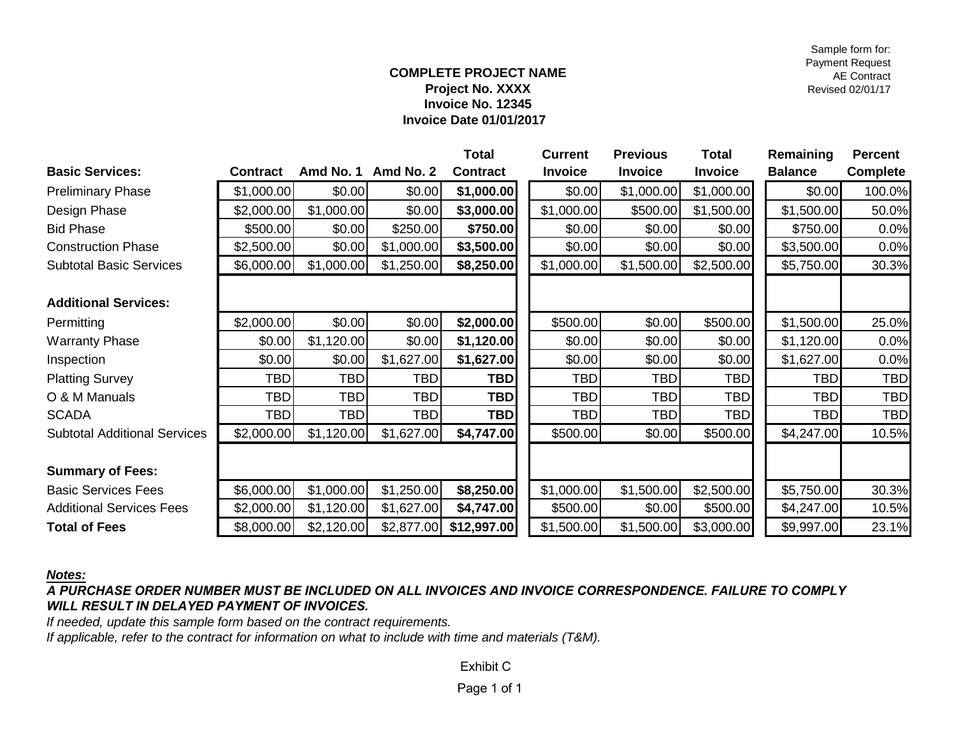Sample form for: Payment Request AE Contract Revised 02/01/17

#### **COMPLETE PROJECT NAME Project No. XXXX Invoice No. 12345 Invoice Date 01/01/2017**

|                                     |                 |            |            | Total           | <b>Current</b> | <b>Previous</b> | <b>Total</b>   | Remaining      | <b>Percent</b> |
|-------------------------------------|-----------------|------------|------------|-----------------|----------------|-----------------|----------------|----------------|----------------|
| <b>Basic Services:</b>              | <b>Contract</b> | Amd No. 1  | Amd No. 2  | <b>Contract</b> | <b>Invoice</b> | <b>Invoice</b>  | <b>Invoice</b> | <b>Balance</b> | Complete       |
| <b>Preliminary Phase</b>            | \$1,000.00      | \$0.00     | \$0.00     | \$1,000.00      | \$0.00         | \$1,000.00      | \$1,000.00     | \$0.00         | 100.0%         |
| Design Phase                        | \$2,000.00      | \$1,000.00 | \$0.00     | \$3,000.00      | \$1,000.00     | \$500.00        | \$1,500.00     | \$1,500.00     | 50.0%          |
| <b>Bid Phase</b>                    | \$500.00        | \$0.00     | \$250.00   | \$750.00        | \$0.00         | \$0.00          | \$0.00         | \$750.00       | 0.0%           |
| <b>Construction Phase</b>           | \$2,500.00      | \$0.00     | \$1,000.00 | \$3,500.00      | \$0.00         | \$0.00          | \$0.00         | \$3,500.00     | 0.0%           |
| <b>Subtotal Basic Services</b>      | \$6,000.00      | \$1,000.00 | \$1,250.00 | \$8,250.00      | \$1,000.00     | \$1,500.00      | \$2,500.00     | \$5,750.00     | 30.3%          |
|                                     |                 |            |            |                 |                |                 |                |                |                |
| <b>Additional Services:</b>         |                 |            |            |                 |                |                 |                |                |                |
| Permitting                          | \$2,000.00      | \$0.00     | \$0.00     | \$2,000.00      | \$500.00       | \$0.00          | \$500.00       | \$1,500.00     | 25.0%          |
| <b>Warranty Phase</b>               | \$0.00          | \$1,120.00 | \$0.00     | \$1,120.00      | \$0.00         | \$0.00          | \$0.00         | \$1,120.00     | 0.0%           |
| Inspection                          | \$0.00          | \$0.00     | \$1,627.00 | \$1,627.00      | \$0.00         | \$0.00          | \$0.00         | \$1,627.00     | 0.0%           |
| <b>Platting Survey</b>              | <b>TBD</b>      | TBD        | <b>TBD</b> | <b>TBD</b>      | TBD            | <b>TBD</b>      | <b>TBD</b>     | <b>TBD</b>     | <b>TBD</b>     |
| O & M Manuals                       | <b>TBD</b>      | <b>TBD</b> | TBD        | <b>TBD</b>      | <b>TBD</b>     | <b>TBD</b>      | <b>TBD</b>     | <b>TBD</b>     | <b>TBD</b>     |
| <b>SCADA</b>                        | <b>TBD</b>      | <b>TBD</b> | TBD        | <b>TBD</b>      | TBD            | <b>TBD</b>      | <b>TBD</b>     | <b>TBD</b>     | <b>TBD</b>     |
| <b>Subtotal Additional Services</b> | \$2,000.00      | \$1,120.00 | \$1,627.00 | \$4,747.00      | \$500.00       | \$0.00          | \$500.00       | \$4,247.00     | 10.5%          |
|                                     |                 |            |            |                 |                |                 |                |                |                |
| <b>Summary of Fees:</b>             |                 |            |            |                 |                |                 |                |                |                |
| <b>Basic Services Fees</b>          | \$6,000.00      | \$1,000.00 | \$1,250.00 | \$8,250.00      | \$1,000.00     | \$1,500.00      | \$2,500.00     | \$5,750.00     | 30.3%          |
| <b>Additional Services Fees</b>     | \$2,000.00      | \$1,120.00 | \$1,627.00 | \$4,747.00      | \$500.00       | \$0.00          | \$500.00       | \$4,247.00     | 10.5%          |
| <b>Total of Fees</b>                | \$8,000.00      | \$2,120.00 | \$2,877.00 | \$12,997.00     | \$1,500.00     | \$1,500.00      | \$3,000.00     | \$9,997.00     | 23.1%          |

*Notes:*

*A PURCHASE ORDER NUMBER MUST BE INCLUDED ON ALL INVOICES AND INVOICE CORRESPONDENCE. FAILURE TO COMPLY WILL RESULT IN DELAYED PAYMENT OF INVOICES.*

*If needed, update this sample form based on the contract requirements.*

*If applicable, refer to the contract for information on what to include with time and materials (T&M).*

Exhibit C

Page 1 of 1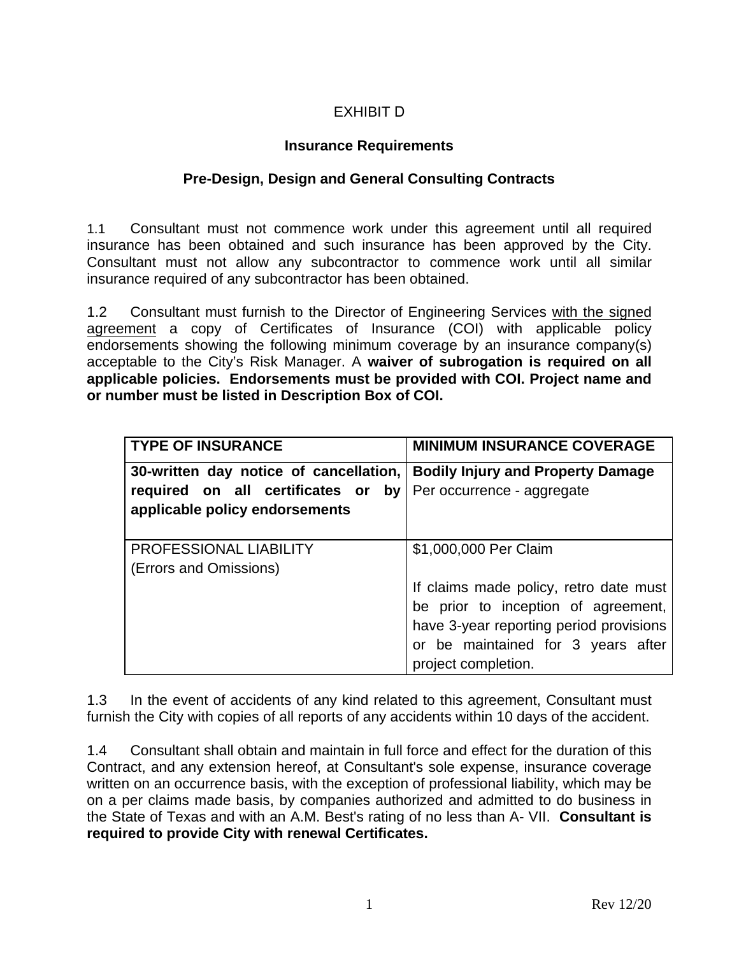## EXHIBIT D

## **Insurance Requirements**

## **Pre-Design, Design and General Consulting Contracts**

1.1 Consultant must not commence work under this agreement until all required insurance has been obtained and such insurance has been approved by the City. Consultant must not allow any subcontractor to commence work until all similar insurance required of any subcontractor has been obtained.

1.2 Consultant must furnish to the Director of Engineering Services with the signed agreement a copy of Certificates of Insurance (COI) with applicable policy endorsements showing the following minimum coverage by an insurance company(s) acceptable to the City's Risk Manager. A **waiver of subrogation is required on all applicable policies. Endorsements must be provided with COI. Project name and or number must be listed in Description Box of COI.**

| <b>TYPE OF INSURANCE</b>               | <b>MINIMUM INSURANCE COVERAGE</b>        |
|----------------------------------------|------------------------------------------|
| 30-written day notice of cancellation, | <b>Bodily Injury and Property Damage</b> |
| required on all certificates or<br>by  | Per occurrence - aggregate               |
| applicable policy endorsements         |                                          |
|                                        |                                          |
| <b>PROFESSIONAL LIABILITY</b>          | \$1,000,000 Per Claim                    |
| (Errors and Omissions)                 |                                          |
|                                        | If claims made policy, retro date must   |
|                                        | be prior to inception of agreement,      |
|                                        | have 3-year reporting period provisions  |
|                                        | or be maintained for 3 years after       |
|                                        | project completion.                      |

1.3 In the event of accidents of any kind related to this agreement, Consultant must furnish the City with copies of all reports of any accidents within 10 days of the accident.

1.4 Consultant shall obtain and maintain in full force and effect for the duration of this Contract, and any extension hereof, at Consultant's sole expense, insurance coverage written on an occurrence basis, with the exception of professional liability, which may be on a per claims made basis, by companies authorized and admitted to do business in the State of Texas and with an A.M. Best's rating of no less than A- VII. **Consultant is required to provide City with renewal Certificates.**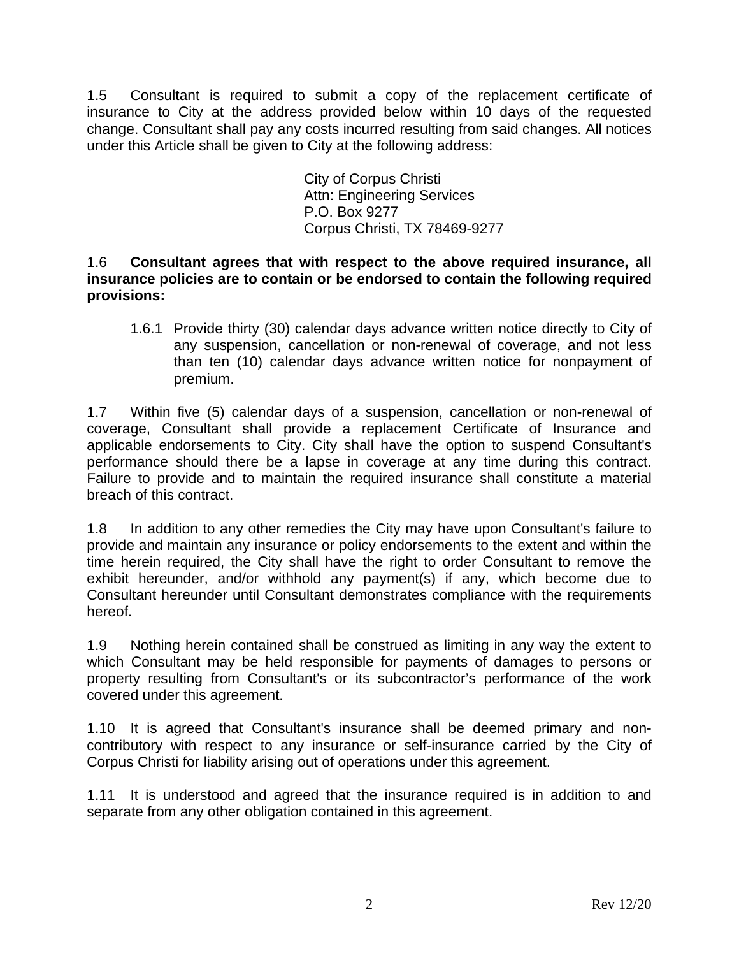1.5 Consultant is required to submit a copy of the replacement certificate of insurance to City at the address provided below within 10 days of the requested change. Consultant shall pay any costs incurred resulting from said changes. All notices under this Article shall be given to City at the following address:

> City of Corpus Christi Attn: Engineering Services P.O. Box 9277 Corpus Christi, TX 78469-9277

1.6 **Consultant agrees that with respect to the above required insurance, all insurance policies are to contain or be endorsed to contain the following required provisions:**

1.6.1 Provide thirty (30) calendar days advance written notice directly to City of any suspension, cancellation or non-renewal of coverage, and not less than ten (10) calendar days advance written notice for nonpayment of premium.

1.7 Within five (5) calendar days of a suspension, cancellation or non-renewal of coverage, Consultant shall provide a replacement Certificate of Insurance and applicable endorsements to City. City shall have the option to suspend Consultant's performance should there be a lapse in coverage at any time during this contract. Failure to provide and to maintain the required insurance shall constitute a material breach of this contract.

1.8 In addition to any other remedies the City may have upon Consultant's failure to provide and maintain any insurance or policy endorsements to the extent and within the time herein required, the City shall have the right to order Consultant to remove the exhibit hereunder, and/or withhold any payment(s) if any, which become due to Consultant hereunder until Consultant demonstrates compliance with the requirements hereof.

1.9 Nothing herein contained shall be construed as limiting in any way the extent to which Consultant may be held responsible for payments of damages to persons or property resulting from Consultant's or its subcontractor's performance of the work covered under this agreement.

1.10 It is agreed that Consultant's insurance shall be deemed primary and noncontributory with respect to any insurance or self-insurance carried by the City of Corpus Christi for liability arising out of operations under this agreement.

1.11 It is understood and agreed that the insurance required is in addition to and separate from any other obligation contained in this agreement.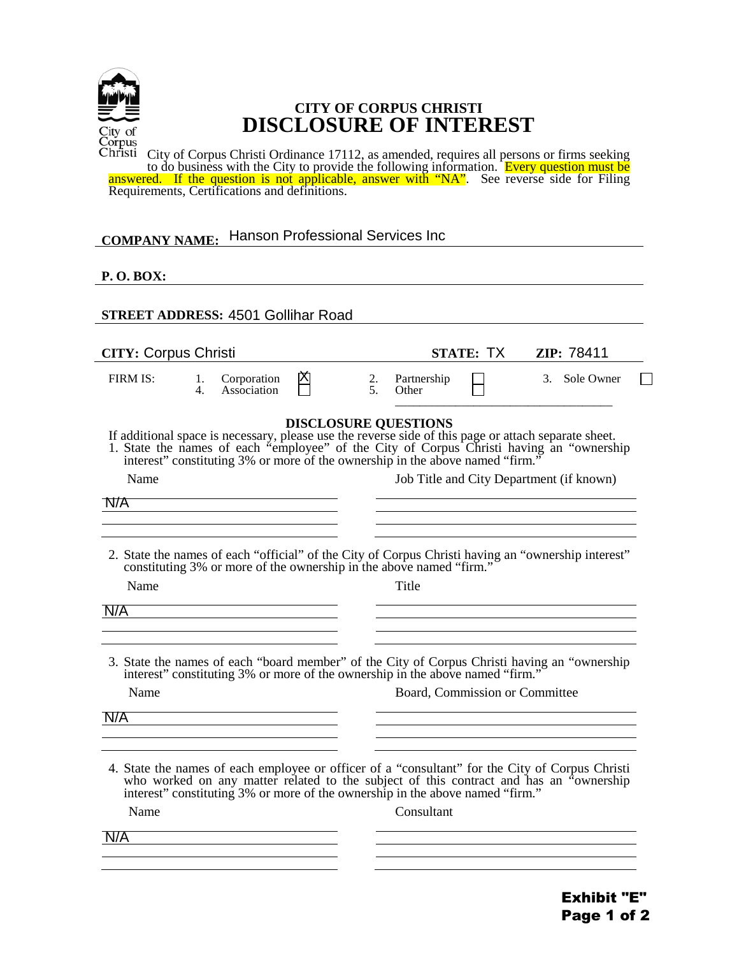

## **CITY OF CORPUS CHRISTI DISCLOSURE OF INTEREST**

City of Corpus Christi Ordinance 17112, as amended, requires all persons or firms seeking to do business with the City to provide the following information. Every question must be answered. If the question is not applicable, answer with "NA". See reverse side for Filing Requirements, Certifications and definitions.

# **COMPANY NAME:**  Hanson Professional Services Inc

## **P. O. BOX:**

 $\overline{a}$ 

| <b>STREET ADDRESS: 4501 Gollihar Road</b> |          |                                                                               |   |          |                                |                  |                                                                                                                                                                                                                                                                               |  |
|-------------------------------------------|----------|-------------------------------------------------------------------------------|---|----------|--------------------------------|------------------|-------------------------------------------------------------------------------------------------------------------------------------------------------------------------------------------------------------------------------------------------------------------------------|--|
| <b>CITY: Corpus Christi</b>               |          |                                                                               |   |          |                                | <b>STATE: TX</b> | ZIP: 78411                                                                                                                                                                                                                                                                    |  |
| FIRM IS:                                  | 1.<br>4. | Corporation<br>Association                                                    | ⊠ | 2.<br>5. | Partnership<br>Other           |                  | 3. Sole Owner                                                                                                                                                                                                                                                                 |  |
| Name                                      |          |                                                                               |   |          | <b>DISCLOSURE QUESTIONS</b>    |                  | If additional space is necessary, please use the reverse side of this page or attach separate sheet.<br>1. State the names of each "employee" of the City of Corpus Christi having an "ownership interest" constituting 3% or mor<br>Job Title and City Department (if known) |  |
| N/A                                       |          |                                                                               |   |          |                                |                  |                                                                                                                                                                                                                                                                               |  |
| Name<br>N/A                               |          |                                                                               |   |          | Title                          |                  | 2. State the names of each "official" of the City of Corpus Christi having an "ownership interest" constituting 3% or more of the ownership in the above named "firm."                                                                                                        |  |
| Name                                      |          | interest" constituting 3% or more of the ownership in the above named "firm." |   |          | Board, Commission or Committee |                  | 3. State the names of each "board member" of the City of Corpus Christi having an "ownership                                                                                                                                                                                  |  |
| N/A                                       |          |                                                                               |   |          |                                |                  |                                                                                                                                                                                                                                                                               |  |
| Name                                      |          | interest" constituting 3% or more of the ownership in the above named "firm." |   |          | Consultant                     |                  | 4. State the names of each employee or officer of a "consultant" for the City of Corpus Christi<br>who worked on any matter related to the subject of this contract and has an "ownership                                                                                     |  |
| N/A                                       |          |                                                                               |   |          |                                |                  |                                                                                                                                                                                                                                                                               |  |
|                                           |          |                                                                               |   |          |                                |                  |                                                                                                                                                                                                                                                                               |  |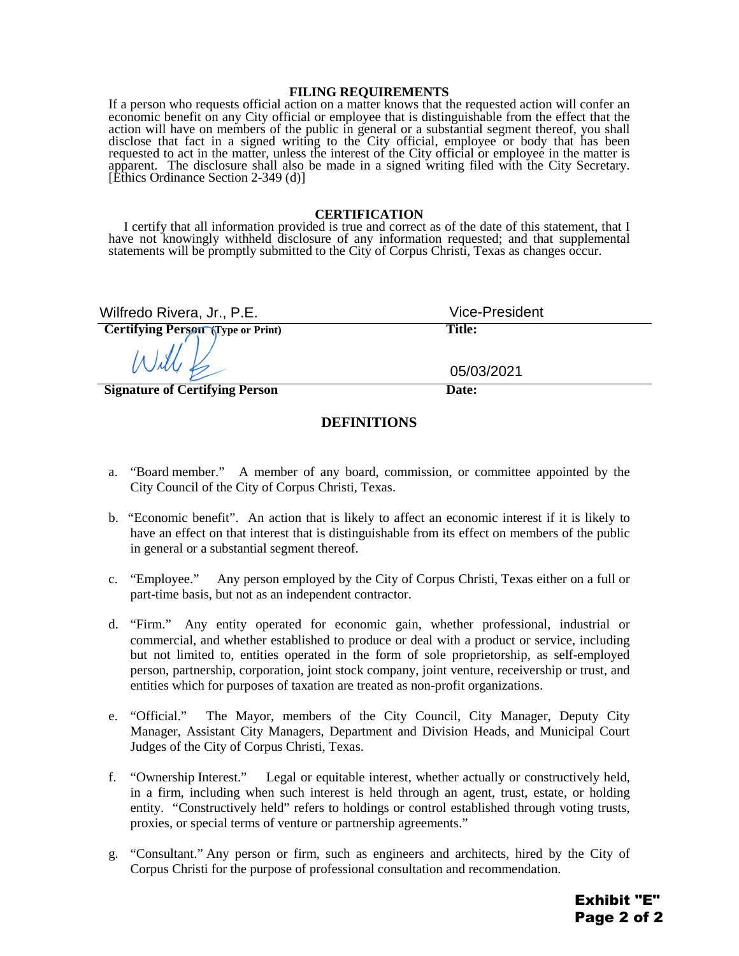#### **FILING REQUIREMENTS**

If a person who requests official action on a matter knows that the requested action will confer an economic benefit on any City official or employee that is distinguishable from the effect that the action will have on members of the public in general or a substantial segment thereof, you shall disclose that fact in a signed writing to the City official, employee or body that has been requested to act in the matter, unless the interest of the City official or employee in the matter is apparent. The disclosure shall also be made in a signed writing filed with the City Secretary. [Ethics Ordinance Section 2-349 (d)]

#### **CERTIFICATION**

I certify that all information provided is true and correct as of the date of this statement, that I have not knowingly withheld disclosure of any information requested; and that supplemental statements will be promptly submitted to the City of Corpus Christi, Texas as changes occur.

| Wilfredo Rivera, Jr., P.E.               | <b>Vice-President</b> |
|------------------------------------------|-----------------------|
| <b>Certifying Person (Type or Print)</b> | <b>Title:</b>         |
| Will                                     | 05/03/2021            |
| <b>Signature of Certifying Person</b>    | Date:                 |

#### **DEFINITIONS**

- a. "Board member." A member of any board, commission, or committee appointed by the City Council of the City of Corpus Christi, Texas.
- b. "Economic benefit". An action that is likely to affect an economic interest if it is likely to have an effect on that interest that is distinguishable from its effect on members of the public in general or a substantial segment thereof.
- c. "Employee." Any person employed by the City of Corpus Christi, Texas either on a full or part-time basis, but not as an independent contractor.
- d. "Firm." Any entity operated for economic gain, whether professional, industrial or commercial, and whether established to produce or deal with a product or service, including but not limited to, entities operated in the form of sole proprietorship, as self-employed person, partnership, corporation, joint stock company, joint venture, receivership or trust, and entities which for purposes of taxation are treated as non-profit organizations.
- e. "Official." The Mayor, members of the City Council, City Manager, Deputy City Manager, Assistant City Managers, Department and Division Heads, and Municipal Court Judges of the City of Corpus Christi, Texas.
- f. "Ownership Interest." Legal or equitable interest, whether actually or constructively held, in a firm, including when such interest is held through an agent, trust, estate, or holding entity. "Constructively held" refers to holdings or control established through voting trusts, proxies, or special terms of venture or partnership agreements."
- g. "Consultant." Any person or firm, such as engineers and architects, hired by the City of Corpus Christi for the purpose of professional consultation and recommendation.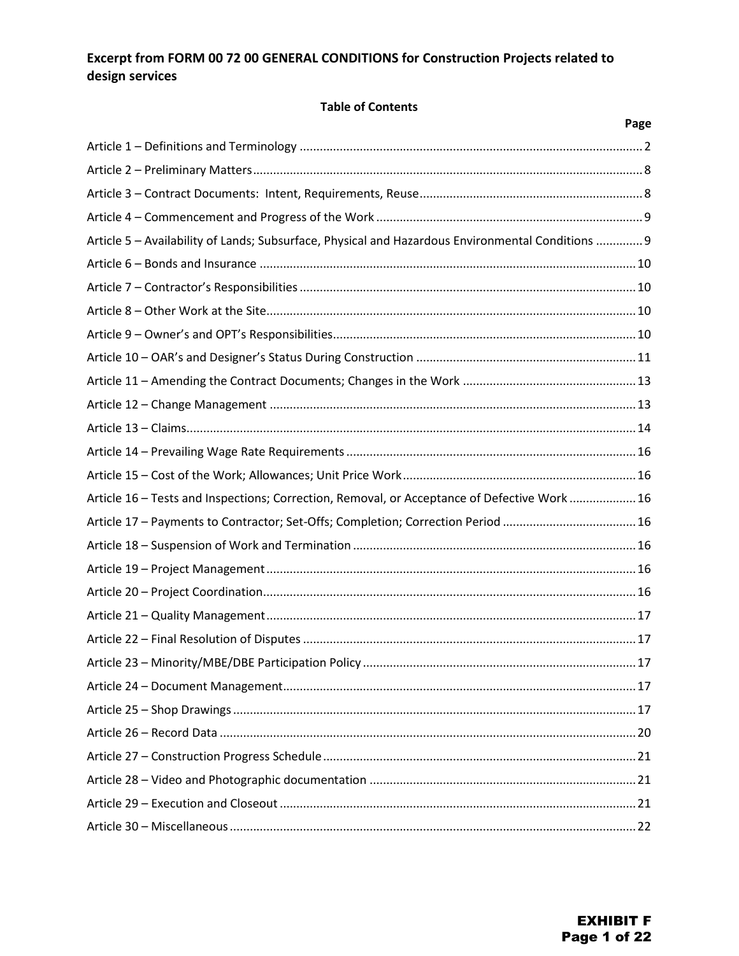## **Excerpt from FORM 00 72 00 GENERAL CONDITIONS for Construction Projects related to design services**

#### **Table of Contents**

|                                                                                                   | Page |
|---------------------------------------------------------------------------------------------------|------|
|                                                                                                   |      |
|                                                                                                   |      |
|                                                                                                   |      |
|                                                                                                   |      |
| Article 5 - Availability of Lands; Subsurface, Physical and Hazardous Environmental Conditions  9 |      |
|                                                                                                   |      |
|                                                                                                   |      |
|                                                                                                   |      |
|                                                                                                   |      |
|                                                                                                   |      |
|                                                                                                   |      |
|                                                                                                   |      |
|                                                                                                   |      |
|                                                                                                   |      |
|                                                                                                   |      |
| Article 16 - Tests and Inspections; Correction, Removal, or Acceptance of Defective Work  16      |      |
| Article 17 - Payments to Contractor; Set-Offs; Completion; Correction Period  16                  |      |
|                                                                                                   |      |
|                                                                                                   |      |
|                                                                                                   |      |
|                                                                                                   |      |
|                                                                                                   |      |
|                                                                                                   |      |
|                                                                                                   |      |
|                                                                                                   |      |
|                                                                                                   |      |
|                                                                                                   |      |
|                                                                                                   |      |
|                                                                                                   |      |
|                                                                                                   |      |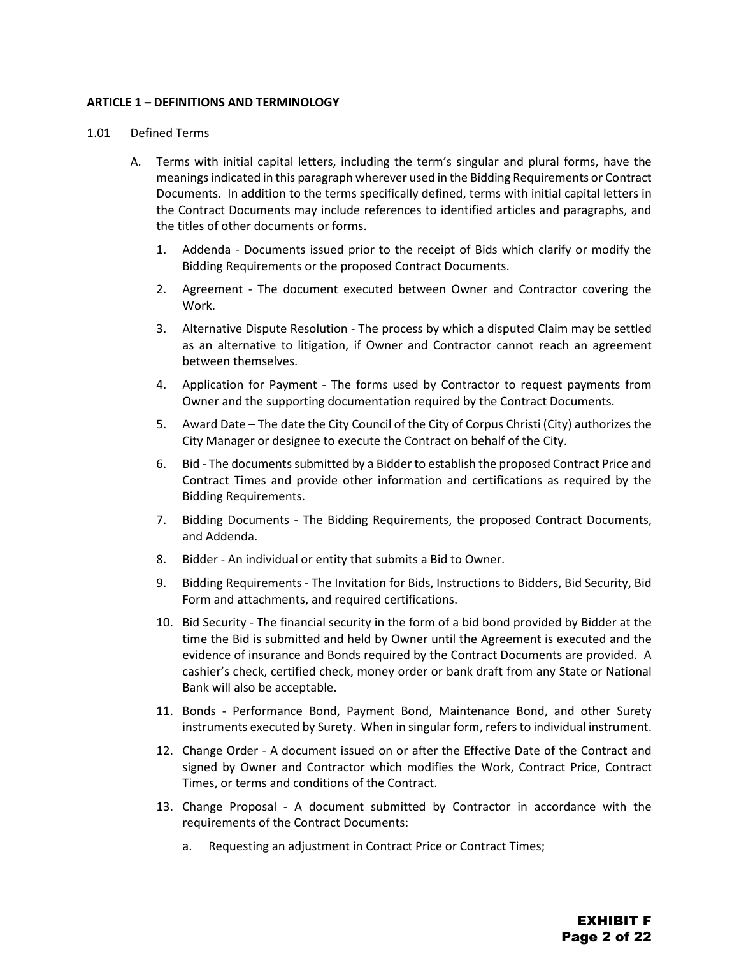#### <span id="page-20-0"></span>**ARTICLE 1 – DEFINITIONS AND TERMINOLOGY**

#### 1.01 Defined Terms

- A. Terms with initial capital letters, including the term's singular and plural forms, have the meanings indicated in this paragraph wherever used in the Bidding Requirements or Contract Documents. In addition to the terms specifically defined, terms with initial capital letters in the Contract Documents may include references to identified articles and paragraphs, and the titles of other documents or forms.
	- 1. Addenda Documents issued prior to the receipt of Bids which clarify or modify the Bidding Requirements or the proposed Contract Documents.
	- 2. Agreement The document executed between Owner and Contractor covering the Work.
	- 3. Alternative Dispute Resolution The process by which a disputed Claim may be settled as an alternative to litigation, if Owner and Contractor cannot reach an agreement between themselves.
	- 4. Application for Payment The forms used by Contractor to request payments from Owner and the supporting documentation required by the Contract Documents.
	- 5. Award Date The date the City Council of the City of Corpus Christi (City) authorizes the City Manager or designee to execute the Contract on behalf of the City.
	- 6. Bid The documents submitted by a Bidder to establish the proposed Contract Price and Contract Times and provide other information and certifications as required by the Bidding Requirements.
	- 7. Bidding Documents The Bidding Requirements, the proposed Contract Documents, and Addenda.
	- 8. Bidder An individual or entity that submits a Bid to Owner.
	- 9. Bidding Requirements The Invitation for Bids, Instructions to Bidders, Bid Security, Bid Form and attachments, and required certifications.
	- 10. Bid Security The financial security in the form of a bid bond provided by Bidder at the time the Bid is submitted and held by Owner until the Agreement is executed and the evidence of insurance and Bonds required by the Contract Documents are provided. A cashier's check, certified check, money order or bank draft from any State or National Bank will also be acceptable.
	- 11. Bonds Performance Bond, Payment Bond, Maintenance Bond, and other Surety instruments executed by Surety. When in singular form, refers to individual instrument.
	- 12. Change Order A document issued on or after the Effective Date of the Contract and signed by Owner and Contractor which modifies the Work, Contract Price, Contract Times, or terms and conditions of the Contract.
	- 13. Change Proposal A document submitted by Contractor in accordance with the requirements of the Contract Documents:
		- a. Requesting an adjustment in Contract Price or Contract Times;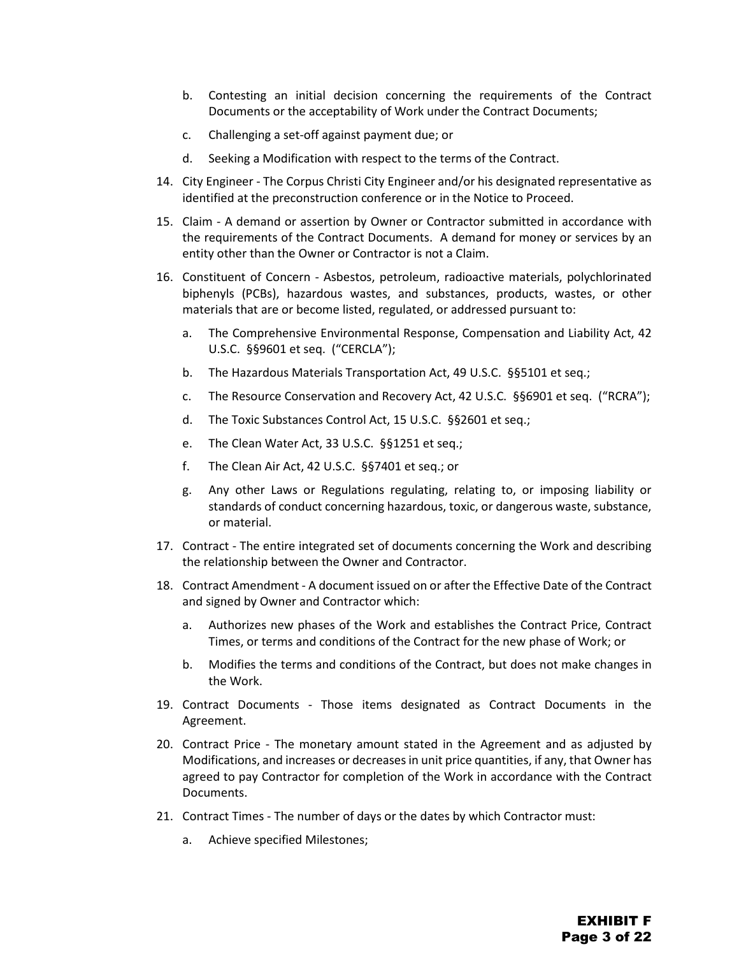- b. Contesting an initial decision concerning the requirements of the Contract Documents or the acceptability of Work under the Contract Documents;
- c. Challenging a set-off against payment due; or
- d. Seeking a Modification with respect to the terms of the Contract.
- 14. City Engineer The Corpus Christi City Engineer and/or his designated representative as identified at the preconstruction conference or in the Notice to Proceed.
- 15. Claim A demand or assertion by Owner or Contractor submitted in accordance with the requirements of the Contract Documents. A demand for money or services by an entity other than the Owner or Contractor is not a Claim.
- 16. Constituent of Concern Asbestos, petroleum, radioactive materials, polychlorinated biphenyls (PCBs), hazardous wastes, and substances, products, wastes, or other materials that are or become listed, regulated, or addressed pursuant to:
	- a. The Comprehensive Environmental Response, Compensation and Liability Act, 42 U.S.C. §§9601 et seq. ("CERCLA");
	- b. The Hazardous Materials Transportation Act, 49 U.S.C. §§5101 et seq.;
	- c. The Resource Conservation and Recovery Act, 42 U.S.C. §§6901 et seq. ("RCRA");
	- d. The Toxic Substances Control Act, 15 U.S.C. §§2601 et seq.;
	- e. The Clean Water Act, 33 U.S.C. §§1251 et seq.;
	- f. The Clean Air Act, 42 U.S.C. §§7401 et seq.; or
	- g. Any other Laws or Regulations regulating, relating to, or imposing liability or standards of conduct concerning hazardous, toxic, or dangerous waste, substance, or material.
- 17. Contract The entire integrated set of documents concerning the Work and describing the relationship between the Owner and Contractor.
- 18. Contract Amendment A document issued on or after the Effective Date of the Contract and signed by Owner and Contractor which:
	- a. Authorizes new phases of the Work and establishes the Contract Price, Contract Times, or terms and conditions of the Contract for the new phase of Work; or
	- b. Modifies the terms and conditions of the Contract, but does not make changes in the Work.
- 19. Contract Documents Those items designated as Contract Documents in the Agreement.
- 20. Contract Price The monetary amount stated in the Agreement and as adjusted by Modifications, and increases or decreases in unit price quantities, if any, that Owner has agreed to pay Contractor for completion of the Work in accordance with the Contract Documents.
- 21. Contract Times The number of days or the dates by which Contractor must:
	- a. Achieve specified Milestones;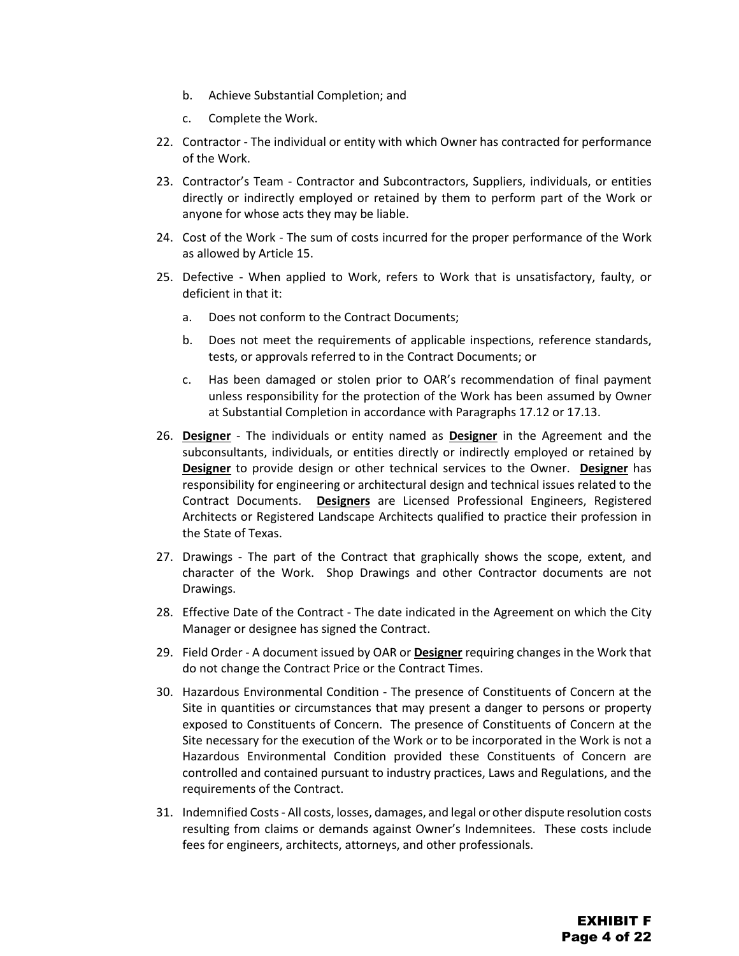- b. Achieve Substantial Completion; and
- c. Complete the Work.
- 22. Contractor The individual or entity with which Owner has contracted for performance of the Work.
- 23. Contractor's Team Contractor and Subcontractors, Suppliers, individuals, or entities directly or indirectly employed or retained by them to perform part of the Work or anyone for whose acts they may be liable.
- 24. Cost of the Work The sum of costs incurred for the proper performance of the Work as allowed by Article 15.
- 25. Defective When applied to Work, refers to Work that is unsatisfactory, faulty, or deficient in that it:
	- a. Does not conform to the Contract Documents;
	- b. Does not meet the requirements of applicable inspections, reference standards, tests, or approvals referred to in the Contract Documents; or
	- c. Has been damaged or stolen prior to OAR's recommendation of final payment unless responsibility for the protection of the Work has been assumed by Owner at Substantial Completion in accordance with Paragraphs 17.12 or 17.13.
- 26. **Designer** The individuals or entity named as **Designer** in the Agreement and the subconsultants, individuals, or entities directly or indirectly employed or retained by **Designer** to provide design or other technical services to the Owner. **Designer** has responsibility for engineering or architectural design and technical issues related to the Contract Documents. **Designers** are Licensed Professional Engineers, Registered Architects or Registered Landscape Architects qualified to practice their profession in the State of Texas.
- 27. Drawings The part of the Contract that graphically shows the scope, extent, and character of the Work. Shop Drawings and other Contractor documents are not Drawings.
- 28. Effective Date of the Contract The date indicated in the Agreement on which the City Manager or designee has signed the Contract.
- 29. Field Order A document issued by OAR or **Designer** requiring changes in the Work that do not change the Contract Price or the Contract Times.
- 30. Hazardous Environmental Condition The presence of Constituents of Concern at the Site in quantities or circumstances that may present a danger to persons or property exposed to Constituents of Concern. The presence of Constituents of Concern at the Site necessary for the execution of the Work or to be incorporated in the Work is not a Hazardous Environmental Condition provided these Constituents of Concern are controlled and contained pursuant to industry practices, Laws and Regulations, and the requirements of the Contract.
- 31. Indemnified Costs All costs, losses, damages, and legal or other dispute resolution costs resulting from claims or demands against Owner's Indemnitees. These costs include fees for engineers, architects, attorneys, and other professionals.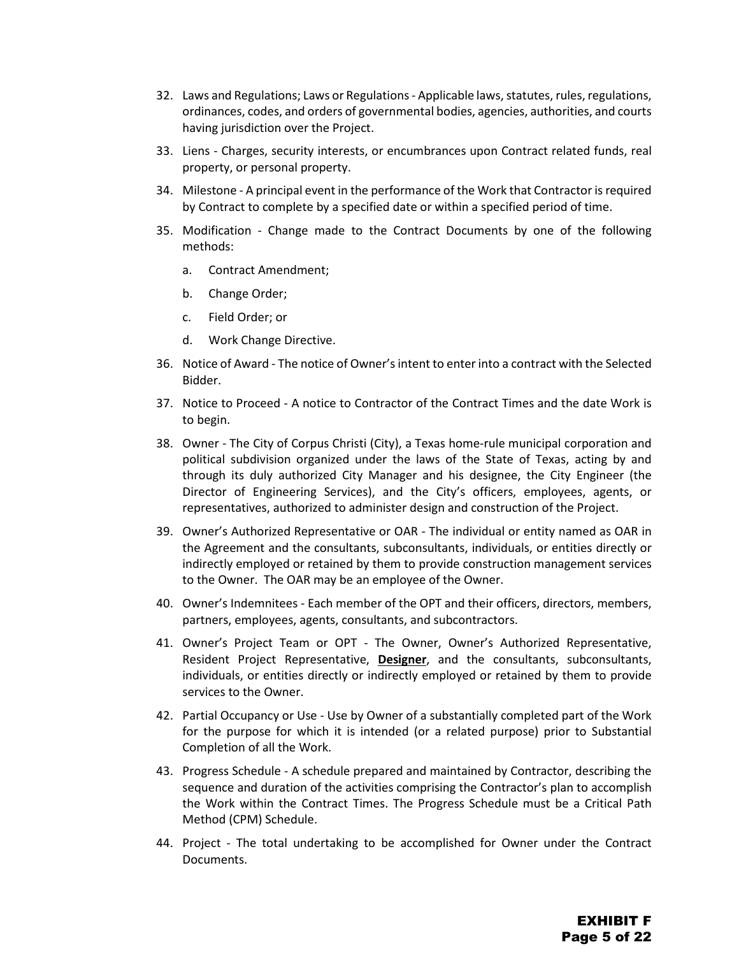- 32. Laws and Regulations; Laws or Regulations Applicable laws, statutes, rules, regulations, ordinances, codes, and orders of governmental bodies, agencies, authorities, and courts having jurisdiction over the Project.
- 33. Liens Charges, security interests, or encumbrances upon Contract related funds, real property, or personal property.
- 34. Milestone A principal event in the performance of the Work that Contractor is required by Contract to complete by a specified date or within a specified period of time.
- 35. Modification Change made to the Contract Documents by one of the following methods:
	- a. Contract Amendment;
	- b. Change Order;
	- c. Field Order; or
	- d. Work Change Directive.
- 36. Notice of Award The notice of Owner's intent to enter into a contract with the Selected Bidder.
- 37. Notice to Proceed A notice to Contractor of the Contract Times and the date Work is to begin.
- 38. Owner The City of Corpus Christi (City), a Texas home-rule municipal corporation and political subdivision organized under the laws of the State of Texas, acting by and through its duly authorized City Manager and his designee, the City Engineer (the Director of Engineering Services), and the City's officers, employees, agents, or representatives, authorized to administer design and construction of the Project.
- 39. Owner's Authorized Representative or OAR The individual or entity named as OAR in the Agreement and the consultants, subconsultants, individuals, or entities directly or indirectly employed or retained by them to provide construction management services to the Owner. The OAR may be an employee of the Owner.
- 40. Owner's Indemnitees Each member of the OPT and their officers, directors, members, partners, employees, agents, consultants, and subcontractors.
- 41. Owner's Project Team or OPT The Owner, Owner's Authorized Representative, Resident Project Representative, **Designer**, and the consultants, subconsultants, individuals, or entities directly or indirectly employed or retained by them to provide services to the Owner.
- 42. Partial Occupancy or Use Use by Owner of a substantially completed part of the Work for the purpose for which it is intended (or a related purpose) prior to Substantial Completion of all the Work.
- 43. Progress Schedule A schedule prepared and maintained by Contractor, describing the sequence and duration of the activities comprising the Contractor's plan to accomplish the Work within the Contract Times. The Progress Schedule must be a Critical Path Method (CPM) Schedule.
- 44. Project The total undertaking to be accomplished for Owner under the Contract Documents.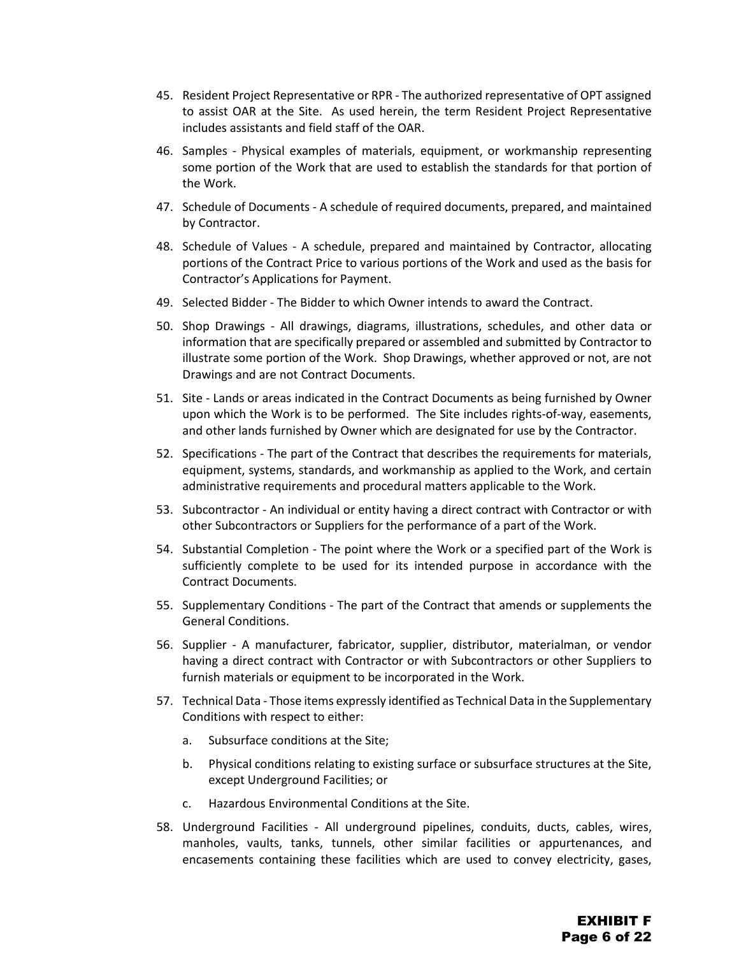- 45. Resident Project Representative or RPR The authorized representative of OPT assigned to assist OAR at the Site. As used herein, the term Resident Project Representative includes assistants and field staff of the OAR.
- 46. Samples Physical examples of materials, equipment, or workmanship representing some portion of the Work that are used to establish the standards for that portion of the Work.
- 47. Schedule of Documents A schedule of required documents, prepared, and maintained by Contractor.
- 48. Schedule of Values A schedule, prepared and maintained by Contractor, allocating portions of the Contract Price to various portions of the Work and used as the basis for Contractor's Applications for Payment.
- 49. Selected Bidder The Bidder to which Owner intends to award the Contract.
- 50. Shop Drawings All drawings, diagrams, illustrations, schedules, and other data or information that are specifically prepared or assembled and submitted by Contractor to illustrate some portion of the Work. Shop Drawings, whether approved or not, are not Drawings and are not Contract Documents.
- 51. Site Lands or areas indicated in the Contract Documents as being furnished by Owner upon which the Work is to be performed. The Site includes rights-of-way, easements, and other lands furnished by Owner which are designated for use by the Contractor.
- 52. Specifications The part of the Contract that describes the requirements for materials, equipment, systems, standards, and workmanship as applied to the Work, and certain administrative requirements and procedural matters applicable to the Work.
- 53. Subcontractor An individual or entity having a direct contract with Contractor or with other Subcontractors or Suppliers for the performance of a part of the Work.
- 54. Substantial Completion The point where the Work or a specified part of the Work is sufficiently complete to be used for its intended purpose in accordance with the Contract Documents.
- 55. Supplementary Conditions The part of the Contract that amends or supplements the General Conditions.
- 56. Supplier A manufacturer, fabricator, supplier, distributor, materialman, or vendor having a direct contract with Contractor or with Subcontractors or other Suppliers to furnish materials or equipment to be incorporated in the Work.
- 57. Technical Data Those items expressly identified as Technical Data in the Supplementary Conditions with respect to either:
	- a. Subsurface conditions at the Site;
	- b. Physical conditions relating to existing surface or subsurface structures at the Site, except Underground Facilities; or
	- c. Hazardous Environmental Conditions at the Site.
- 58. Underground Facilities All underground pipelines, conduits, ducts, cables, wires, manholes, vaults, tanks, tunnels, other similar facilities or appurtenances, and encasements containing these facilities which are used to convey electricity, gases,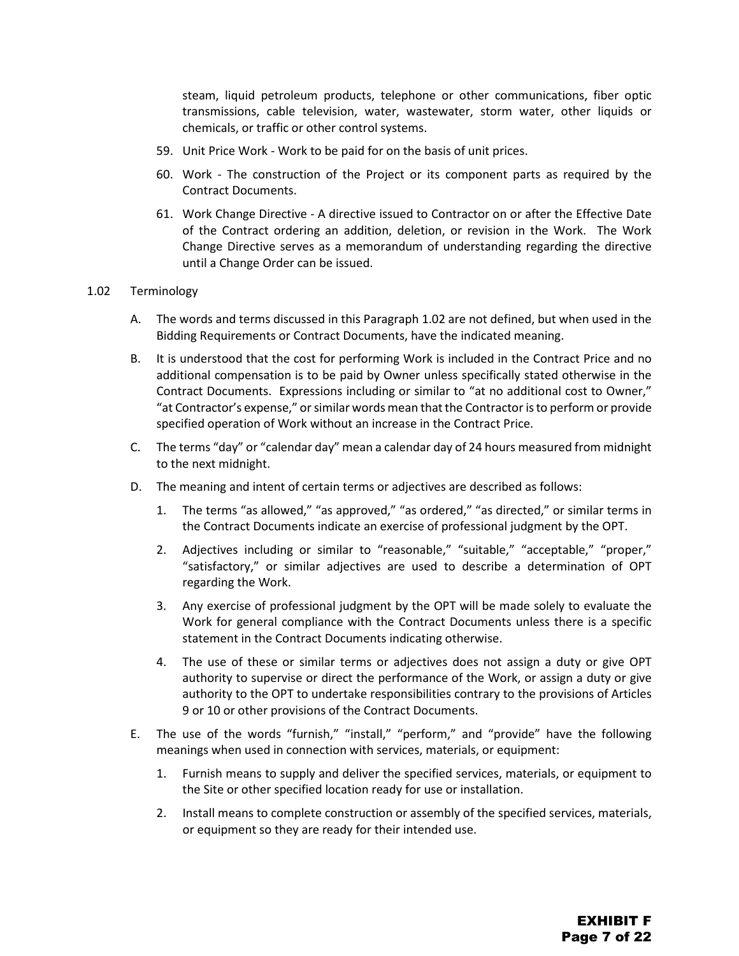steam, liquid petroleum products, telephone or other communications, fiber optic transmissions, cable television, water, wastewater, storm water, other liquids or chemicals, or traffic or other control systems.

- 59. Unit Price Work Work to be paid for on the basis of unit prices.
- 60. Work The construction of the Project or its component parts as required by the Contract Documents.
- 61. Work Change Directive A directive issued to Contractor on or after the Effective Date of the Contract ordering an addition, deletion, or revision in the Work. The Work Change Directive serves as a memorandum of understanding regarding the directive until a Change Order can be issued.

#### 1.02 Terminology

- A. The words and terms discussed in this Paragraph 1.02 are not defined, but when used in the Bidding Requirements or Contract Documents, have the indicated meaning.
- B. It is understood that the cost for performing Work is included in the Contract Price and no additional compensation is to be paid by Owner unless specifically stated otherwise in the Contract Documents. Expressions including or similar to "at no additional cost to Owner," "at Contractor's expense," or similar words mean that the Contractor is to perform or provide specified operation of Work without an increase in the Contract Price.
- C. The terms "day" or "calendar day" mean a calendar day of 24 hours measured from midnight to the next midnight.
- D. The meaning and intent of certain terms or adjectives are described as follows:
	- 1. The terms "as allowed," "as approved," "as ordered," "as directed," or similar terms in the Contract Documents indicate an exercise of professional judgment by the OPT.
	- 2. Adjectives including or similar to "reasonable," "suitable," "acceptable," "proper," "satisfactory," or similar adjectives are used to describe a determination of OPT regarding the Work.
	- 3. Any exercise of professional judgment by the OPT will be made solely to evaluate the Work for general compliance with the Contract Documents unless there is a specific statement in the Contract Documents indicating otherwise.
	- 4. The use of these or similar terms or adjectives does not assign a duty or give OPT authority to supervise or direct the performance of the Work, or assign a duty or give authority to the OPT to undertake responsibilities contrary to the provisions of Articles 9 or 10 or other provisions of the Contract Documents.
- E. The use of the words "furnish," "install," "perform," and "provide" have the following meanings when used in connection with services, materials, or equipment:
	- 1. Furnish means to supply and deliver the specified services, materials, or equipment to the Site or other specified location ready for use or installation.
	- 2. Install means to complete construction or assembly of the specified services, materials, or equipment so they are ready for their intended use.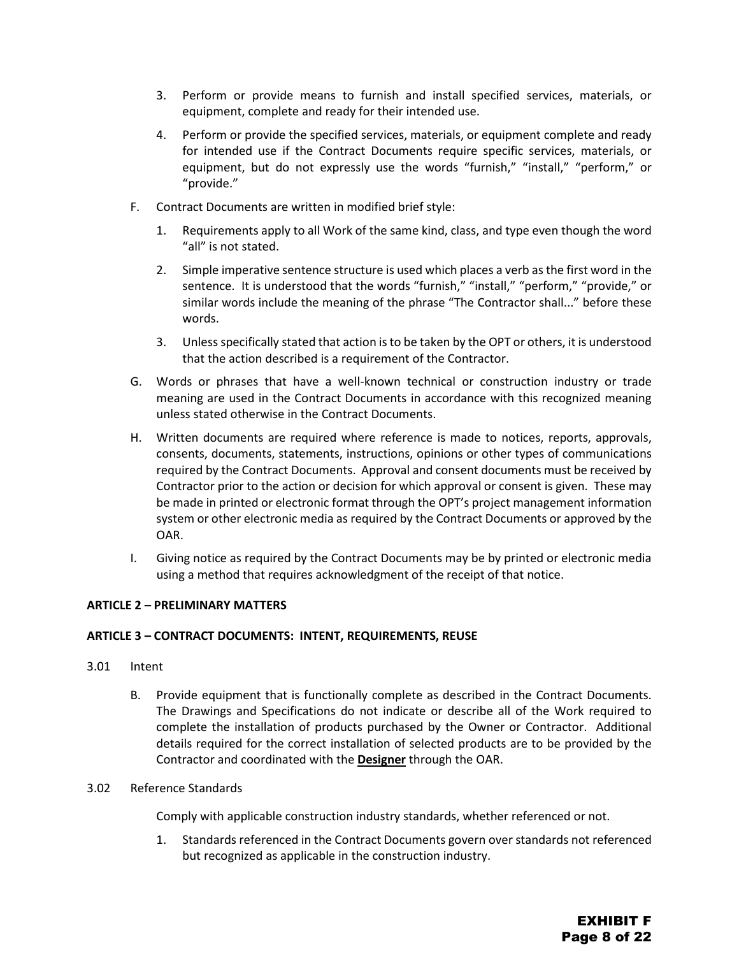- 3. Perform or provide means to furnish and install specified services, materials, or equipment, complete and ready for their intended use.
- 4. Perform or provide the specified services, materials, or equipment complete and ready for intended use if the Contract Documents require specific services, materials, or equipment, but do not expressly use the words "furnish," "install," "perform," or "provide."
- F. Contract Documents are written in modified brief style:
	- 1. Requirements apply to all Work of the same kind, class, and type even though the word "all" is not stated.
	- 2. Simple imperative sentence structure is used which places a verb as the first word in the sentence. It is understood that the words "furnish," "install," "perform," "provide," or similar words include the meaning of the phrase "The Contractor shall..." before these words.
	- 3. Unless specifically stated that action is to be taken by the OPT or others, it is understood that the action described is a requirement of the Contractor.
- G. Words or phrases that have a well-known technical or construction industry or trade meaning are used in the Contract Documents in accordance with this recognized meaning unless stated otherwise in the Contract Documents.
- H. Written documents are required where reference is made to notices, reports, approvals, consents, documents, statements, instructions, opinions or other types of communications required by the Contract Documents. Approval and consent documents must be received by Contractor prior to the action or decision for which approval or consent is given. These may be made in printed or electronic format through the OPT's project management information system or other electronic media as required by the Contract Documents or approved by the OAR.
- I. Giving notice as required by the Contract Documents may be by printed or electronic media using a method that requires acknowledgment of the receipt of that notice.

#### <span id="page-26-0"></span>**ARTICLE 2 – PRELIMINARY MATTERS**

#### <span id="page-26-1"></span>**ARTICLE 3 – CONTRACT DOCUMENTS: INTENT, REQUIREMENTS, REUSE**

- 3.01 Intent
	- B. Provide equipment that is functionally complete as described in the Contract Documents. The Drawings and Specifications do not indicate or describe all of the Work required to complete the installation of products purchased by the Owner or Contractor. Additional details required for the correct installation of selected products are to be provided by the Contractor and coordinated with the **Designer** through the OAR.

#### 3.02 Reference Standards

Comply with applicable construction industry standards, whether referenced or not.

1. Standards referenced in the Contract Documents govern over standards not referenced but recognized as applicable in the construction industry.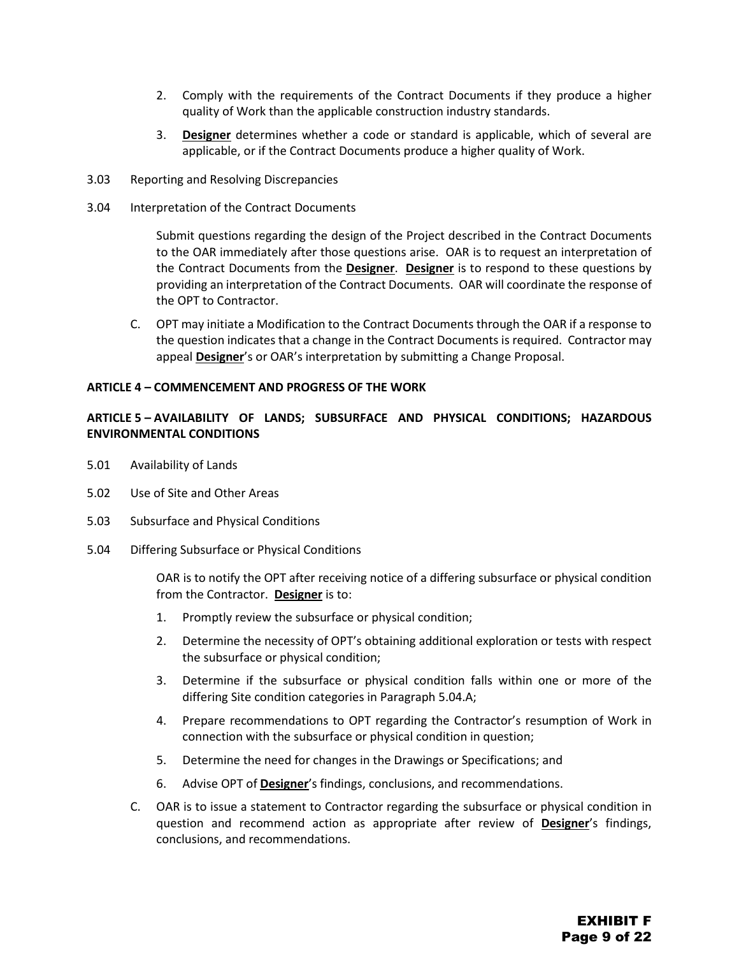- 2. Comply with the requirements of the Contract Documents if they produce a higher quality of Work than the applicable construction industry standards.
- 3. **Designer** determines whether a code or standard is applicable, which of several are applicable, or if the Contract Documents produce a higher quality of Work.
- 3.03 Reporting and Resolving Discrepancies
- 3.04 Interpretation of the Contract Documents

Submit questions regarding the design of the Project described in the Contract Documents to the OAR immediately after those questions arise. OAR is to request an interpretation of the Contract Documents from the **Designer**. **Designer** is to respond to these questions by providing an interpretation of the Contract Documents. OAR will coordinate the response of the OPT to Contractor.

C. OPT may initiate a Modification to the Contract Documents through the OAR if a response to the question indicates that a change in the Contract Documents is required. Contractor may appeal **Designer**'s or OAR's interpretation by submitting a Change Proposal.

#### <span id="page-27-0"></span>**ARTICLE 4 – COMMENCEMENT AND PROGRESS OF THE WORK**

#### <span id="page-27-1"></span>**ARTICLE 5 – AVAILABILITY OF LANDS; SUBSURFACE AND PHYSICAL CONDITIONS; HAZARDOUS ENVIRONMENTAL CONDITIONS**

- 5.01 Availability of Lands
- 5.02 Use of Site and Other Areas
- 5.03 Subsurface and Physical Conditions
- 5.04 Differing Subsurface or Physical Conditions

OAR is to notify the OPT after receiving notice of a differing subsurface or physical condition from the Contractor. **Designer** is to:

- 1. Promptly review the subsurface or physical condition;
- 2. Determine the necessity of OPT's obtaining additional exploration or tests with respect the subsurface or physical condition;
- 3. Determine if the subsurface or physical condition falls within one or more of the differing Site condition categories in Paragraph 5.04.A;
- 4. Prepare recommendations to OPT regarding the Contractor's resumption of Work in connection with the subsurface or physical condition in question;
- 5. Determine the need for changes in the Drawings or Specifications; and
- 6. Advise OPT of **Designer**'s findings, conclusions, and recommendations.
- C. OAR is to issue a statement to Contractor regarding the subsurface or physical condition in question and recommend action as appropriate after review of **Designer**'s findings, conclusions, and recommendations.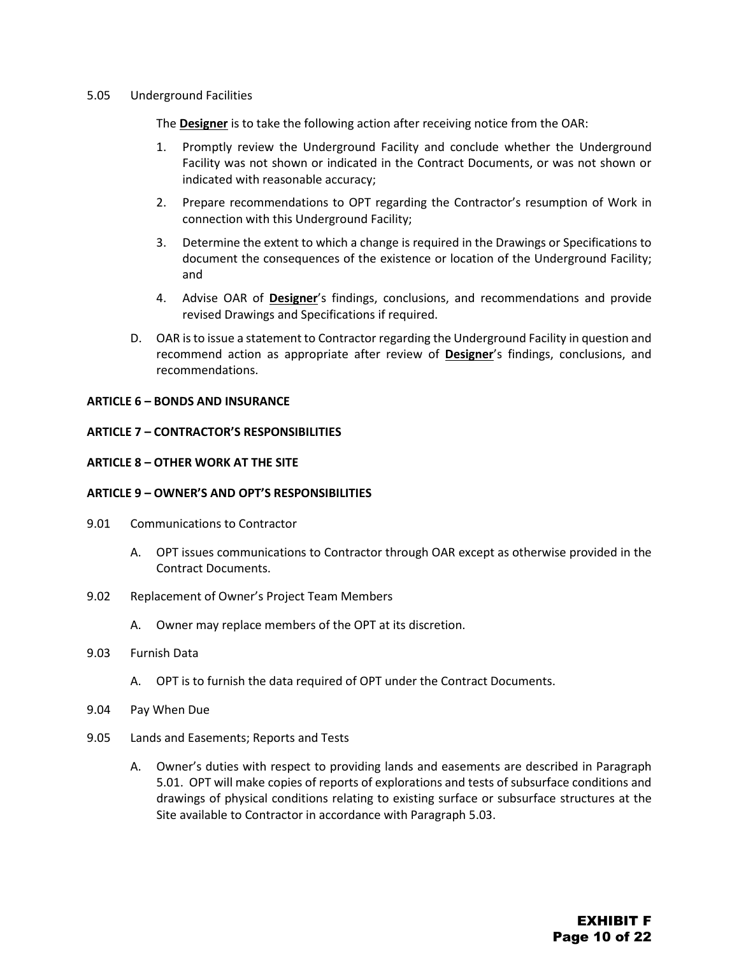#### 5.05 Underground Facilities

The **Designer** is to take the following action after receiving notice from the OAR:

- 1. Promptly review the Underground Facility and conclude whether the Underground Facility was not shown or indicated in the Contract Documents, or was not shown or indicated with reasonable accuracy;
- 2. Prepare recommendations to OPT regarding the Contractor's resumption of Work in connection with this Underground Facility;
- 3. Determine the extent to which a change is required in the Drawings or Specifications to document the consequences of the existence or location of the Underground Facility; and
- 4. Advise OAR of **Designer**'s findings, conclusions, and recommendations and provide revised Drawings and Specifications if required.
- D. OAR is to issue a statement to Contractor regarding the Underground Facility in question and recommend action as appropriate after review of **Designer**'s findings, conclusions, and recommendations.

#### <span id="page-28-0"></span>**ARTICLE 6 – BONDS AND INSURANCE**

#### <span id="page-28-1"></span>**ARTICLE 7 – CONTRACTOR'S RESPONSIBILITIES**

#### <span id="page-28-2"></span>**ARTICLE 8 – OTHER WORK AT THE SITE**

#### <span id="page-28-3"></span>**ARTICLE 9 – OWNER'S AND OPT'S RESPONSIBILITIES**

- 9.01 Communications to Contractor
	- A. OPT issues communications to Contractor through OAR except as otherwise provided in the Contract Documents.
- 9.02 Replacement of Owner's Project Team Members
	- A. Owner may replace members of the OPT at its discretion.

#### 9.03 Furnish Data

- A. OPT is to furnish the data required of OPT under the Contract Documents.
- 9.04 Pay When Due
- 9.05 Lands and Easements; Reports and Tests
	- A. Owner's duties with respect to providing lands and easements are described in Paragraph 5.01. OPT will make copies of reports of explorations and tests of subsurface conditions and drawings of physical conditions relating to existing surface or subsurface structures at the Site available to Contractor in accordance with Paragraph 5.03.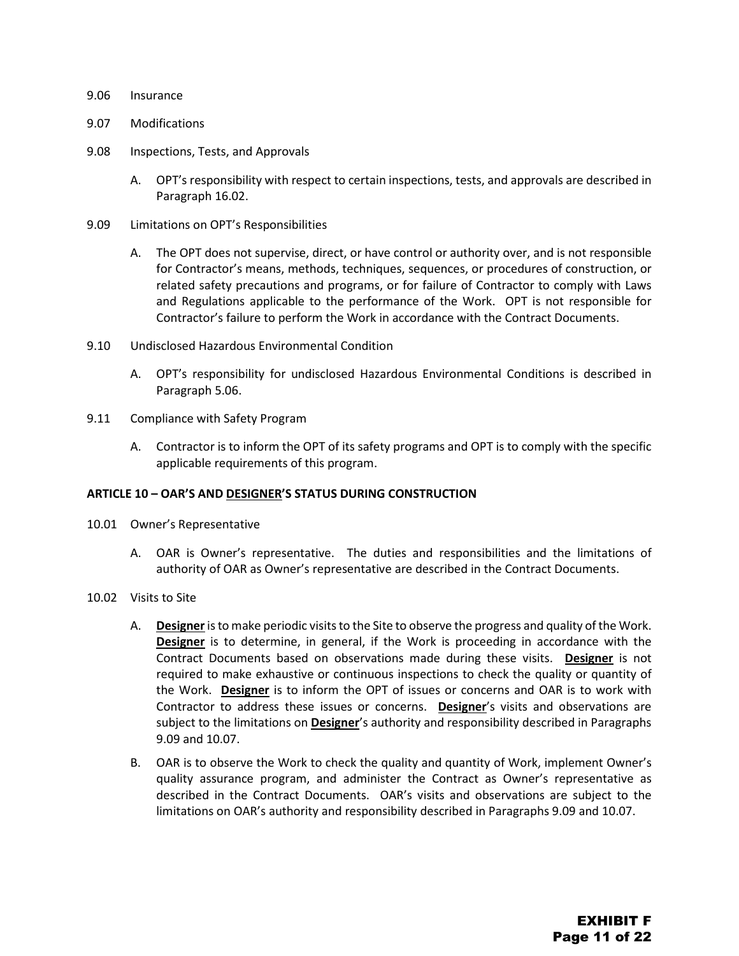#### 9.06 Insurance

- 9.07 Modifications
- 9.08 Inspections, Tests, and Approvals
	- A. OPT's responsibility with respect to certain inspections, tests, and approvals are described in Paragraph 16.02.
- 9.09 Limitations on OPT's Responsibilities
	- A. The OPT does not supervise, direct, or have control or authority over, and is not responsible for Contractor's means, methods, techniques, sequences, or procedures of construction, or related safety precautions and programs, or for failure of Contractor to comply with Laws and Regulations applicable to the performance of the Work. OPT is not responsible for Contractor's failure to perform the Work in accordance with the Contract Documents.
- 9.10 Undisclosed Hazardous Environmental Condition
	- A. OPT's responsibility for undisclosed Hazardous Environmental Conditions is described in Paragraph 5.06.
- 9.11 Compliance with Safety Program
	- A. Contractor is to inform the OPT of its safety programs and OPT is to comply with the specific applicable requirements of this program.

#### <span id="page-29-0"></span>**ARTICLE 10 – OAR'S AND DESIGNER'S STATUS DURING CONSTRUCTION**

- 10.01 Owner's Representative
	- A. OAR is Owner's representative. The duties and responsibilities and the limitations of authority of OAR as Owner's representative are described in the Contract Documents.
- 10.02 Visits to Site
	- A. **Designer**is to make periodic visits to the Site to observe the progress and quality of the Work. **Designer** is to determine, in general, if the Work is proceeding in accordance with the Contract Documents based on observations made during these visits. **Designer** is not required to make exhaustive or continuous inspections to check the quality or quantity of the Work. **Designer** is to inform the OPT of issues or concerns and OAR is to work with Contractor to address these issues or concerns. **Designer**'s visits and observations are subject to the limitations on **Designer**'s authority and responsibility described in Paragraphs 9.09 and 10.07.
	- B. OAR is to observe the Work to check the quality and quantity of Work, implement Owner's quality assurance program, and administer the Contract as Owner's representative as described in the Contract Documents. OAR's visits and observations are subject to the limitations on OAR's authority and responsibility described in Paragraphs 9.09 and 10.07.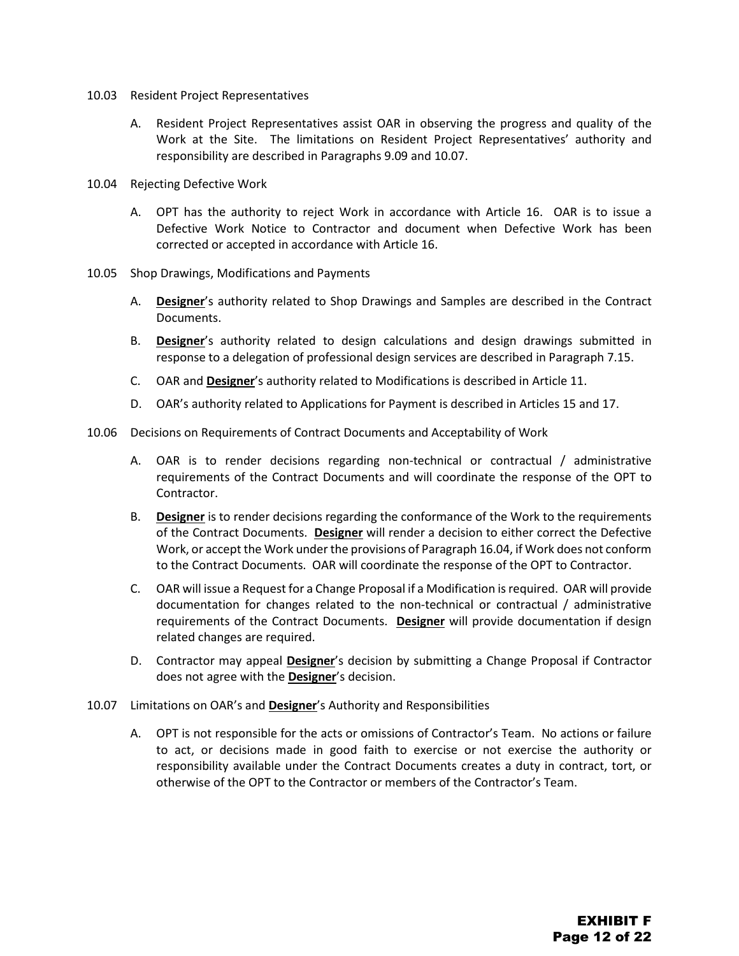- 10.03 Resident Project Representatives
	- A. Resident Project Representatives assist OAR in observing the progress and quality of the Work at the Site. The limitations on Resident Project Representatives' authority and responsibility are described in Paragraphs 9.09 and 10.07.
- 10.04 Rejecting Defective Work
	- A. OPT has the authority to reject Work in accordance with Article 16. OAR is to issue a Defective Work Notice to Contractor and document when Defective Work has been corrected or accepted in accordance with Article 16.
- 10.05 Shop Drawings, Modifications and Payments
	- A. **Designer**'s authority related to Shop Drawings and Samples are described in the Contract Documents.
	- B. **Designer**'s authority related to design calculations and design drawings submitted in response to a delegation of professional design services are described in Paragraph 7.15.
	- C. OAR and **Designer**'s authority related to Modifications is described in Article 11.
	- D. OAR's authority related to Applications for Payment is described in Articles 15 and 17.
- 10.06 Decisions on Requirements of Contract Documents and Acceptability of Work
	- A. OAR is to render decisions regarding non-technical or contractual / administrative requirements of the Contract Documents and will coordinate the response of the OPT to Contractor.
	- B. **Designer** is to render decisions regarding the conformance of the Work to the requirements of the Contract Documents. **Designer** will render a decision to either correct the Defective Work, or accept the Work under the provisions of Paragraph 16.04, if Work does not conform to the Contract Documents. OAR will coordinate the response of the OPT to Contractor.
	- C. OAR will issue a Request for a Change Proposal if a Modification is required. OAR will provide documentation for changes related to the non-technical or contractual / administrative requirements of the Contract Documents. **Designer** will provide documentation if design related changes are required.
	- D. Contractor may appeal **Designer**'s decision by submitting a Change Proposal if Contractor does not agree with the **Designer**'s decision.
- 10.07 Limitations on OAR's and **Designer**'s Authority and Responsibilities
	- A. OPT is not responsible for the acts or omissions of Contractor's Team. No actions or failure to act, or decisions made in good faith to exercise or not exercise the authority or responsibility available under the Contract Documents creates a duty in contract, tort, or otherwise of the OPT to the Contractor or members of the Contractor's Team.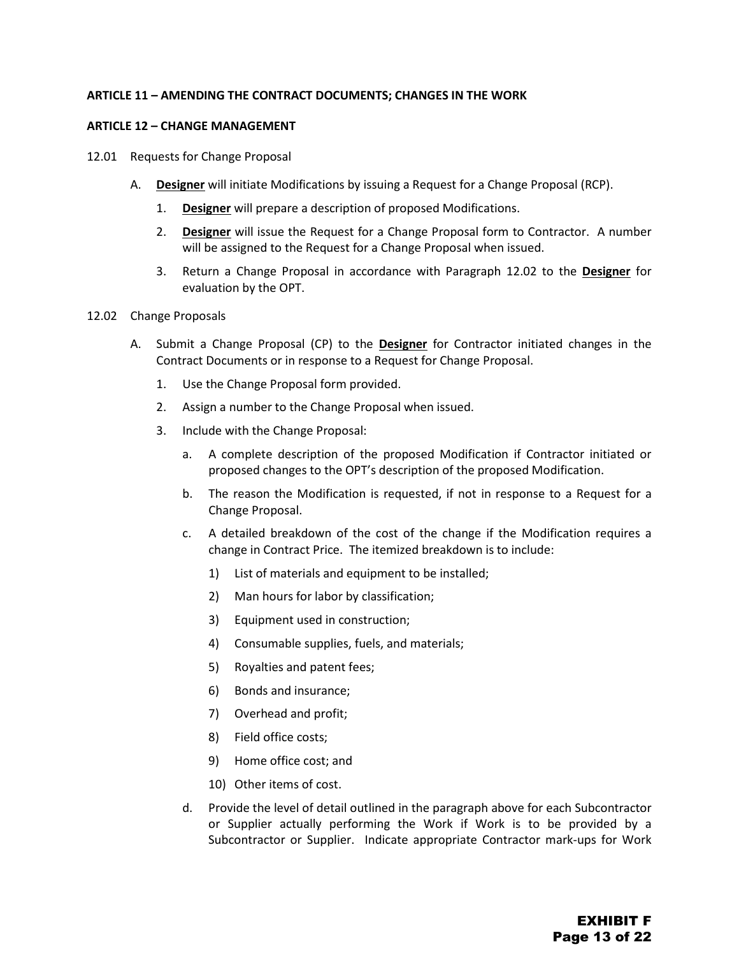#### <span id="page-31-0"></span>**ARTICLE 11 – AMENDING THE CONTRACT DOCUMENTS; CHANGES IN THE WORK**

#### <span id="page-31-1"></span>**ARTICLE 12 – CHANGE MANAGEMENT**

- 12.01 Requests for Change Proposal
	- A. **Designer** will initiate Modifications by issuing a Request for a Change Proposal (RCP).
		- 1. **Designer** will prepare a description of proposed Modifications.
		- 2. **Designer** will issue the Request for a Change Proposal form to Contractor. A number will be assigned to the Request for a Change Proposal when issued.
		- 3. Return a Change Proposal in accordance with Paragraph 12.02 to the **Designer** for evaluation by the OPT.
- 12.02 Change Proposals
	- A. Submit a Change Proposal (CP) to the **Designer** for Contractor initiated changes in the Contract Documents or in response to a Request for Change Proposal.
		- 1. Use the Change Proposal form provided.
		- 2. Assign a number to the Change Proposal when issued.
		- 3. Include with the Change Proposal:
			- a. A complete description of the proposed Modification if Contractor initiated or proposed changes to the OPT's description of the proposed Modification.
			- b. The reason the Modification is requested, if not in response to a Request for a Change Proposal.
			- c. A detailed breakdown of the cost of the change if the Modification requires a change in Contract Price. The itemized breakdown is to include:
				- 1) List of materials and equipment to be installed;
				- 2) Man hours for labor by classification;
				- 3) Equipment used in construction;
				- 4) Consumable supplies, fuels, and materials;
				- 5) Royalties and patent fees;
				- 6) Bonds and insurance;
				- 7) Overhead and profit;
				- 8) Field office costs;
				- 9) Home office cost; and
				- 10) Other items of cost.
			- d. Provide the level of detail outlined in the paragraph above for each Subcontractor or Supplier actually performing the Work if Work is to be provided by a Subcontractor or Supplier. Indicate appropriate Contractor mark-ups for Work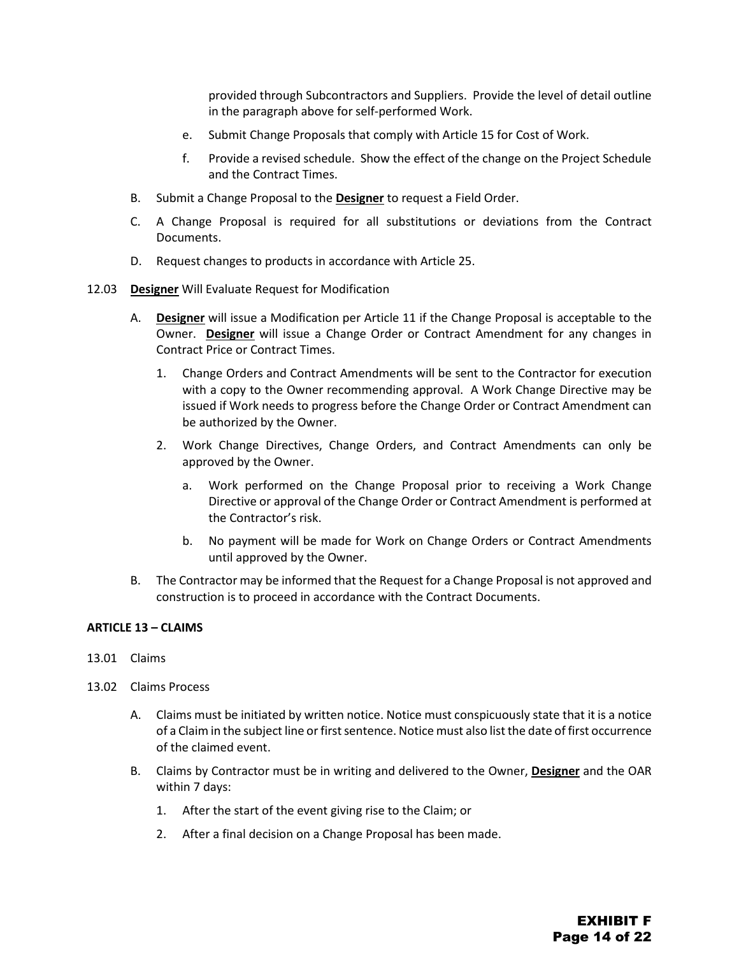provided through Subcontractors and Suppliers. Provide the level of detail outline in the paragraph above for self-performed Work.

- e. Submit Change Proposals that comply with Article 15 for Cost of Work.
- f. Provide a revised schedule. Show the effect of the change on the Project Schedule and the Contract Times.
- B. Submit a Change Proposal to the **Designer** to request a Field Order.
- C. A Change Proposal is required for all substitutions or deviations from the Contract Documents.
- D. Request changes to products in accordance with Article 25.
- 12.03 **Designer** Will Evaluate Request for Modification
	- A. **Designer** will issue a Modification per Article 11 if the Change Proposal is acceptable to the Owner. **Designer** will issue a Change Order or Contract Amendment for any changes in Contract Price or Contract Times.
		- 1. Change Orders and Contract Amendments will be sent to the Contractor for execution with a copy to the Owner recommending approval. A Work Change Directive may be issued if Work needs to progress before the Change Order or Contract Amendment can be authorized by the Owner.
		- 2. Work Change Directives, Change Orders, and Contract Amendments can only be approved by the Owner.
			- a. Work performed on the Change Proposal prior to receiving a Work Change Directive or approval of the Change Order or Contract Amendment is performed at the Contractor's risk.
			- b. No payment will be made for Work on Change Orders or Contract Amendments until approved by the Owner.
	- B. The Contractor may be informed that the Request for a Change Proposal is not approved and construction is to proceed in accordance with the Contract Documents.

#### <span id="page-32-0"></span>**ARTICLE 13 – CLAIMS**

- 13.01 Claims
- 13.02 Claims Process
	- A. Claims must be initiated by written notice. Notice must conspicuously state that it is a notice of a Claim in the subject line or first sentence. Notice must also list the date of first occurrence of the claimed event.
	- B. Claims by Contractor must be in writing and delivered to the Owner, **Designer** and the OAR within 7 days:
		- 1. After the start of the event giving rise to the Claim; or
		- 2. After a final decision on a Change Proposal has been made.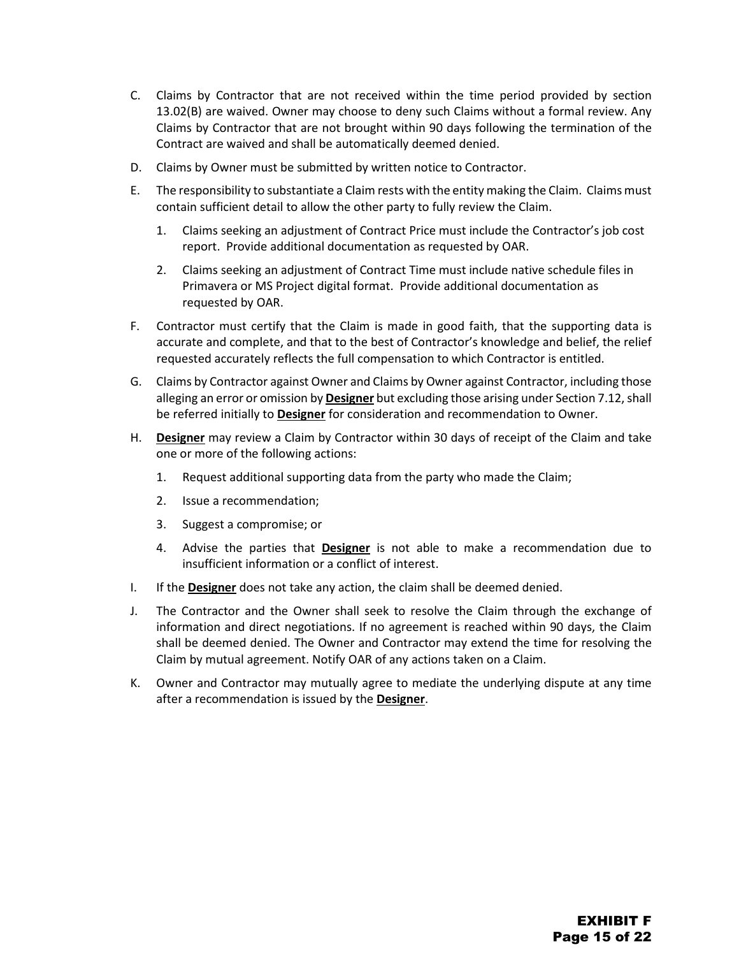- C. Claims by Contractor that are not received within the time period provided by section 13.02(B) are waived. Owner may choose to deny such Claims without a formal review. Any Claims by Contractor that are not brought within 90 days following the termination of the Contract are waived and shall be automatically deemed denied.
- D. Claims by Owner must be submitted by written notice to Contractor.
- E. The responsibility to substantiate a Claim rests with the entity making the Claim. Claims must contain sufficient detail to allow the other party to fully review the Claim.
	- 1. Claims seeking an adjustment of Contract Price must include the Contractor's job cost report. Provide additional documentation as requested by OAR.
	- 2. Claims seeking an adjustment of Contract Time must include native schedule files in Primavera or MS Project digital format. Provide additional documentation as requested by OAR.
- F. Contractor must certify that the Claim is made in good faith, that the supporting data is accurate and complete, and that to the best of Contractor's knowledge and belief, the relief requested accurately reflects the full compensation to which Contractor is entitled.
- G. Claims by Contractor against Owner and Claims by Owner against Contractor, including those alleging an error or omission by **Designer** but excluding those arising under Section 7.12, shall be referred initially to **Designer** for consideration and recommendation to Owner.
- H. **Designer** may review a Claim by Contractor within 30 days of receipt of the Claim and take one or more of the following actions:
	- 1. Request additional supporting data from the party who made the Claim;
	- 2. Issue a recommendation;
	- 3. Suggest a compromise; or
	- 4. Advise the parties that **Designer** is not able to make a recommendation due to insufficient information or a conflict of interest.
- I. If the **Designer** does not take any action, the claim shall be deemed denied.
- J. The Contractor and the Owner shall seek to resolve the Claim through the exchange of information and direct negotiations. If no agreement is reached within 90 days, the Claim shall be deemed denied. The Owner and Contractor may extend the time for resolving the Claim by mutual agreement. Notify OAR of any actions taken on a Claim.
- K. Owner and Contractor may mutually agree to mediate the underlying dispute at any time after a recommendation is issued by the **Designer**.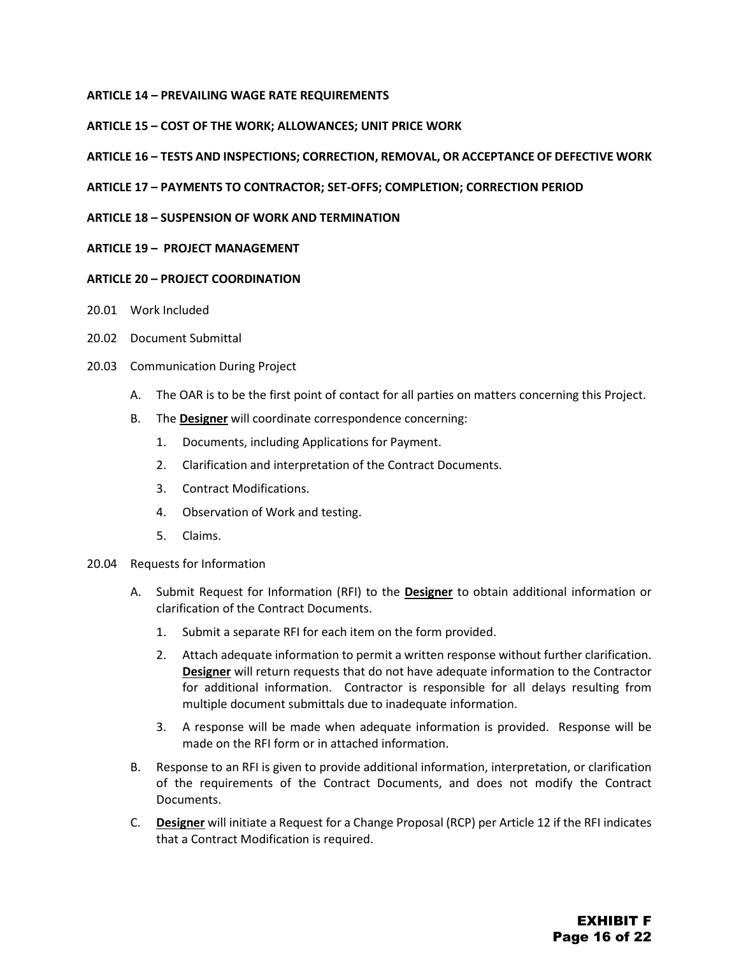#### <span id="page-34-0"></span>**ARTICLE 14 – PREVAILING WAGE RATE REQUIREMENTS**

#### <span id="page-34-1"></span>**ARTICLE 15 – COST OF THE WORK; ALLOWANCES; UNIT PRICE WORK**

#### <span id="page-34-2"></span>**ARTICLE 16 – TESTS AND INSPECTIONS; CORRECTION, REMOVAL, OR ACCEPTANCE OF DEFECTIVE WORK**

#### <span id="page-34-3"></span>**ARTICLE 17 – PAYMENTS TO CONTRACTOR; SET-OFFS; COMPLETION; CORRECTION PERIOD**

#### <span id="page-34-4"></span>**ARTICLE 18 – SUSPENSION OF WORK AND TERMINATION**

#### <span id="page-34-5"></span>**ARTICLE 19 – PROJECT MANAGEMENT**

#### <span id="page-34-6"></span>**ARTICLE 20 – PROJECT COORDINATION**

- 20.01 Work Included
- 20.02 Document Submittal
- 20.03 Communication During Project
	- A. The OAR is to be the first point of contact for all parties on matters concerning this Project.
	- B. The **Designer** will coordinate correspondence concerning:
		- 1. Documents, including Applications for Payment.
		- 2. Clarification and interpretation of the Contract Documents.
		- 3. Contract Modifications.
		- 4. Observation of Work and testing.
		- 5. Claims.

#### 20.04 Requests for Information

- A. Submit Request for Information (RFI) to the **Designer** to obtain additional information or clarification of the Contract Documents.
	- 1. Submit a separate RFI for each item on the form provided.
	- 2. Attach adequate information to permit a written response without further clarification. **Designer** will return requests that do not have adequate information to the Contractor for additional information. Contractor is responsible for all delays resulting from multiple document submittals due to inadequate information.
	- 3. A response will be made when adequate information is provided. Response will be made on the RFI form or in attached information.
- B. Response to an RFI is given to provide additional information, interpretation, or clarification of the requirements of the Contract Documents, and does not modify the Contract Documents.
- C. **Designer** will initiate a Request for a Change Proposal (RCP) per Article 12 if the RFI indicates that a Contract Modification is required.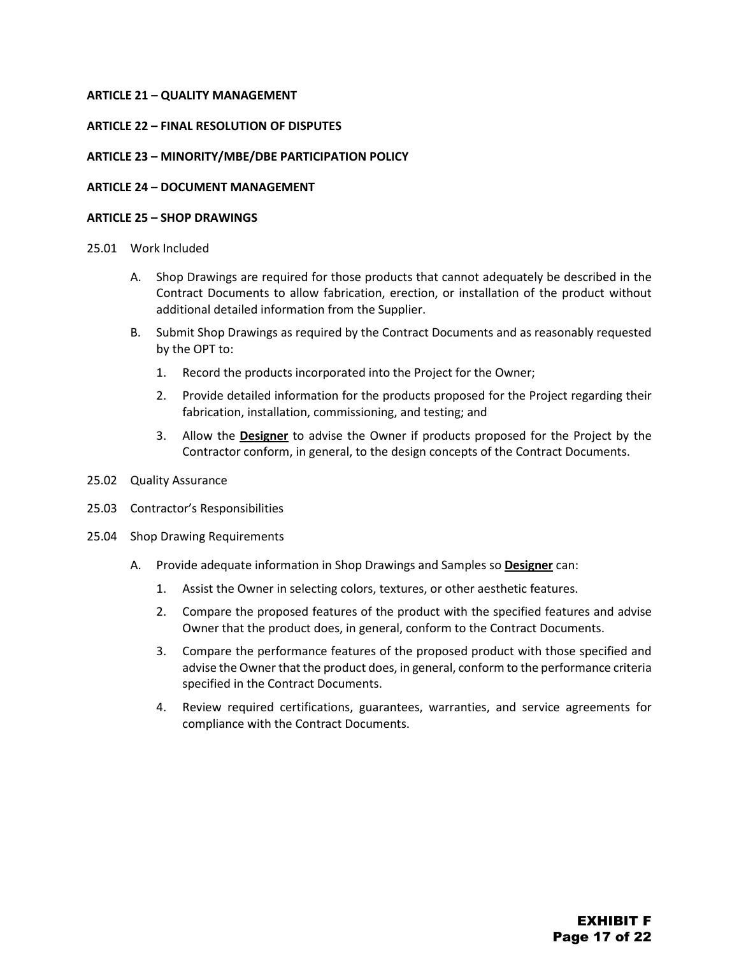#### <span id="page-35-0"></span>**ARTICLE 21 – QUALITY MANAGEMENT**

#### <span id="page-35-1"></span>**ARTICLE 22 – FINAL RESOLUTION OF DISPUTES**

#### <span id="page-35-2"></span>**ARTICLE 23 – MINORITY/MBE/DBE PARTICIPATION POLICY**

#### <span id="page-35-3"></span>**ARTICLE 24 – DOCUMENT MANAGEMENT**

#### <span id="page-35-4"></span>**ARTICLE 25 – SHOP DRAWINGS**

#### 25.01 Work Included

- A. Shop Drawings are required for those products that cannot adequately be described in the Contract Documents to allow fabrication, erection, or installation of the product without additional detailed information from the Supplier.
- B. Submit Shop Drawings as required by the Contract Documents and as reasonably requested by the OPT to:
	- 1. Record the products incorporated into the Project for the Owner;
	- 2. Provide detailed information for the products proposed for the Project regarding their fabrication, installation, commissioning, and testing; and
	- 3. Allow the **Designer** to advise the Owner if products proposed for the Project by the Contractor conform, in general, to the design concepts of the Contract Documents.
- 25.02 Quality Assurance
- 25.03 Contractor's Responsibilities
- 25.04 Shop Drawing Requirements
	- A. Provide adequate information in Shop Drawings and Samples so **Designer** can:
		- 1. Assist the Owner in selecting colors, textures, or other aesthetic features.
		- 2. Compare the proposed features of the product with the specified features and advise Owner that the product does, in general, conform to the Contract Documents.
		- 3. Compare the performance features of the proposed product with those specified and advise the Owner that the product does, in general, conform to the performance criteria specified in the Contract Documents.
		- 4. Review required certifications, guarantees, warranties, and service agreements for compliance with the Contract Documents.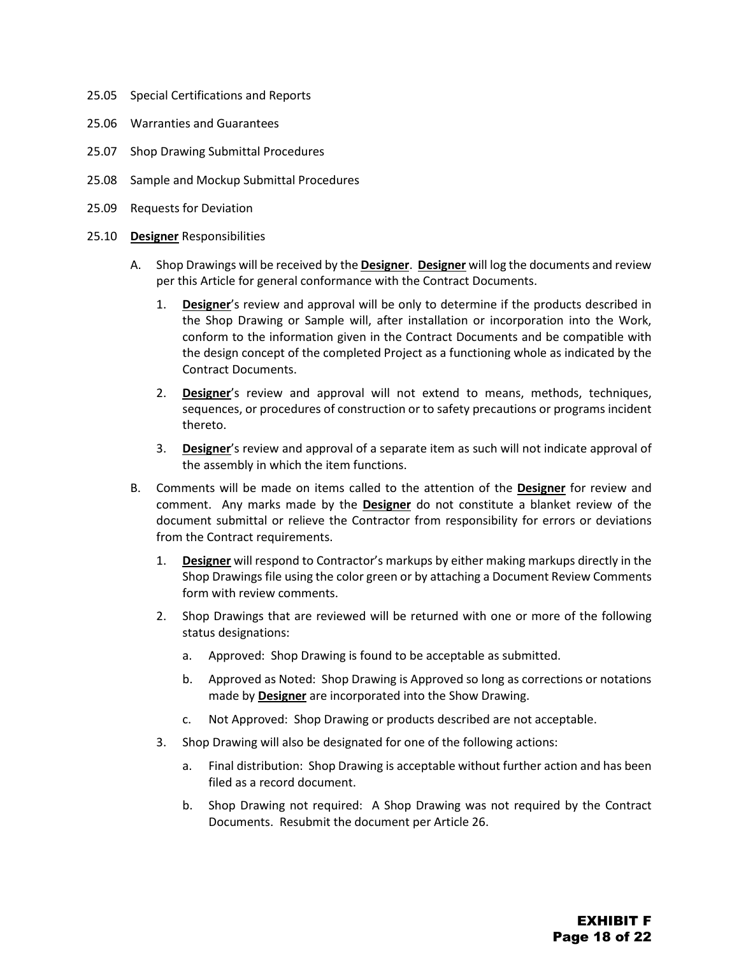- 25.05 Special Certifications and Reports
- 25.06 Warranties and Guarantees
- 25.07 Shop Drawing Submittal Procedures
- 25.08 Sample and Mockup Submittal Procedures
- 25.09 Requests for Deviation
- 25.10 **Designer** Responsibilities
	- A. Shop Drawings will be received by the **Designer**. **Designer** will log the documents and review per this Article for general conformance with the Contract Documents.
		- 1. **Designer**'s review and approval will be only to determine if the products described in the Shop Drawing or Sample will, after installation or incorporation into the Work, conform to the information given in the Contract Documents and be compatible with the design concept of the completed Project as a functioning whole as indicated by the Contract Documents.
		- 2. **Designer**'s review and approval will not extend to means, methods, techniques, sequences, or procedures of construction or to safety precautions or programs incident thereto.
		- 3. **Designer**'s review and approval of a separate item as such will not indicate approval of the assembly in which the item functions.
	- B. Comments will be made on items called to the attention of the **Designer** for review and comment. Any marks made by the **Designer** do not constitute a blanket review of the document submittal or relieve the Contractor from responsibility for errors or deviations from the Contract requirements.
		- 1. **Designer** will respond to Contractor's markups by either making markups directly in the Shop Drawings file using the color green or by attaching a Document Review Comments form with review comments.
		- 2. Shop Drawings that are reviewed will be returned with one or more of the following status designations:
			- a. Approved: Shop Drawing is found to be acceptable as submitted.
			- b. Approved as Noted: Shop Drawing is Approved so long as corrections or notations made by **Designer** are incorporated into the Show Drawing.
			- c. Not Approved: Shop Drawing or products described are not acceptable.
		- 3. Shop Drawing will also be designated for one of the following actions:
			- a. Final distribution: Shop Drawing is acceptable without further action and has been filed as a record document.
			- b. Shop Drawing not required: A Shop Drawing was not required by the Contract Documents. Resubmit the document per Article 26.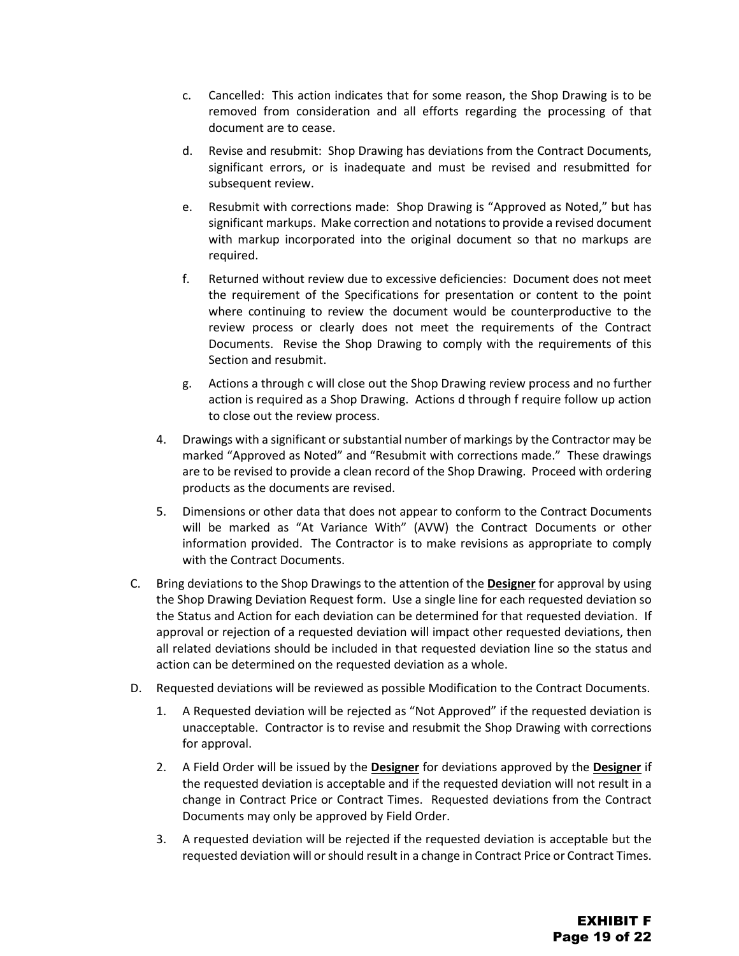- c. Cancelled: This action indicates that for some reason, the Shop Drawing is to be removed from consideration and all efforts regarding the processing of that document are to cease.
- d. Revise and resubmit: Shop Drawing has deviations from the Contract Documents, significant errors, or is inadequate and must be revised and resubmitted for subsequent review.
- e. Resubmit with corrections made: Shop Drawing is "Approved as Noted," but has significant markups. Make correction and notations to provide a revised document with markup incorporated into the original document so that no markups are required.
- f. Returned without review due to excessive deficiencies: Document does not meet the requirement of the Specifications for presentation or content to the point where continuing to review the document would be counterproductive to the review process or clearly does not meet the requirements of the Contract Documents. Revise the Shop Drawing to comply with the requirements of this Section and resubmit.
- g. Actions a through c will close out the Shop Drawing review process and no further action is required as a Shop Drawing. Actions d through f require follow up action to close out the review process.
- 4. Drawings with a significant or substantial number of markings by the Contractor may be marked "Approved as Noted" and "Resubmit with corrections made." These drawings are to be revised to provide a clean record of the Shop Drawing. Proceed with ordering products as the documents are revised.
- 5. Dimensions or other data that does not appear to conform to the Contract Documents will be marked as "At Variance With" (AVW) the Contract Documents or other information provided. The Contractor is to make revisions as appropriate to comply with the Contract Documents.
- C. Bring deviations to the Shop Drawings to the attention of the **Designer** for approval by using the Shop Drawing Deviation Request form. Use a single line for each requested deviation so the Status and Action for each deviation can be determined for that requested deviation. If approval or rejection of a requested deviation will impact other requested deviations, then all related deviations should be included in that requested deviation line so the status and action can be determined on the requested deviation as a whole.
- D. Requested deviations will be reviewed as possible Modification to the Contract Documents.
	- 1. A Requested deviation will be rejected as "Not Approved" if the requested deviation is unacceptable. Contractor is to revise and resubmit the Shop Drawing with corrections for approval.
	- 2. A Field Order will be issued by the **Designer** for deviations approved by the **Designer** if the requested deviation is acceptable and if the requested deviation will not result in a change in Contract Price or Contract Times. Requested deviations from the Contract Documents may only be approved by Field Order.
	- 3. A requested deviation will be rejected if the requested deviation is acceptable but the requested deviation will or should result in a change in Contract Price or Contract Times.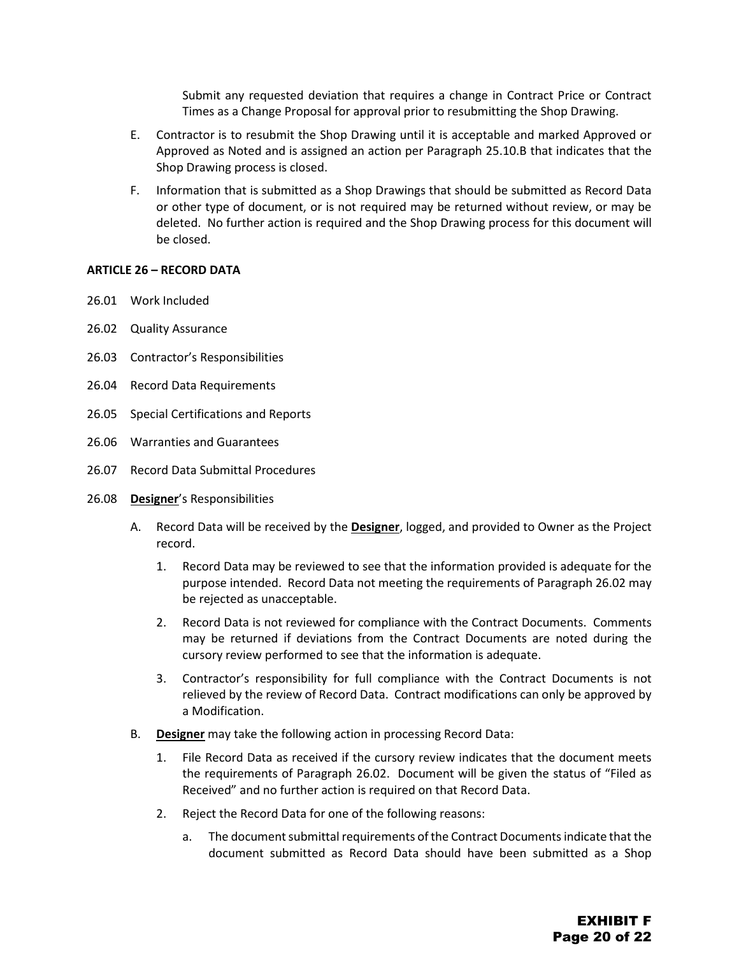Submit any requested deviation that requires a change in Contract Price or Contract Times as a Change Proposal for approval prior to resubmitting the Shop Drawing.

- E. Contractor is to resubmit the Shop Drawing until it is acceptable and marked Approved or Approved as Noted and is assigned an action per Paragraph 25.10.B that indicates that the Shop Drawing process is closed.
- F. Information that is submitted as a Shop Drawings that should be submitted as Record Data or other type of document, or is not required may be returned without review, or may be deleted. No further action is required and the Shop Drawing process for this document will be closed.

#### <span id="page-38-0"></span>**ARTICLE 26 – RECORD DATA**

- 26.01 Work Included
- 26.02 Quality Assurance
- 26.03 Contractor's Responsibilities
- 26.04 Record Data Requirements
- 26.05 Special Certifications and Reports
- 26.06 Warranties and Guarantees
- 26.07 Record Data Submittal Procedures
- 26.08 **Designer**'s Responsibilities
	- A. Record Data will be received by the **Designer**, logged, and provided to Owner as the Project record.
		- 1. Record Data may be reviewed to see that the information provided is adequate for the purpose intended. Record Data not meeting the requirements of Paragraph 26.02 may be rejected as unacceptable.
		- 2. Record Data is not reviewed for compliance with the Contract Documents. Comments may be returned if deviations from the Contract Documents are noted during the cursory review performed to see that the information is adequate.
		- 3. Contractor's responsibility for full compliance with the Contract Documents is not relieved by the review of Record Data. Contract modifications can only be approved by a Modification.
	- B. **Designer** may take the following action in processing Record Data:
		- 1. File Record Data as received if the cursory review indicates that the document meets the requirements of Paragraph 26.02. Document will be given the status of "Filed as Received" and no further action is required on that Record Data.
		- 2. Reject the Record Data for one of the following reasons:
			- a. The document submittal requirements of the Contract Documents indicate that the document submitted as Record Data should have been submitted as a Shop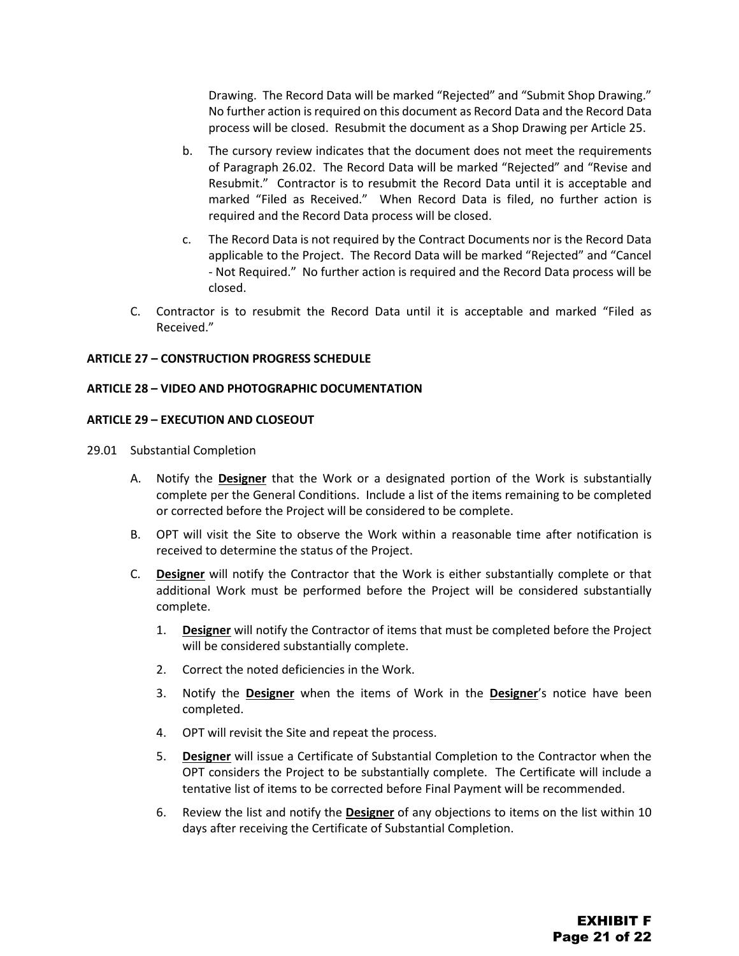Drawing. The Record Data will be marked "Rejected" and "Submit Shop Drawing." No further action is required on this document as Record Data and the Record Data process will be closed. Resubmit the document as a Shop Drawing per Article 25.

- b. The cursory review indicates that the document does not meet the requirements of Paragraph 26.02. The Record Data will be marked "Rejected" and "Revise and Resubmit." Contractor is to resubmit the Record Data until it is acceptable and marked "Filed as Received." When Record Data is filed, no further action is required and the Record Data process will be closed.
- c. The Record Data is not required by the Contract Documents nor is the Record Data applicable to the Project. The Record Data will be marked "Rejected" and "Cancel - Not Required." No further action is required and the Record Data process will be closed.
- C. Contractor is to resubmit the Record Data until it is acceptable and marked "Filed as Received."

#### <span id="page-39-0"></span>**ARTICLE 27 – CONSTRUCTION PROGRESS SCHEDULE**

#### <span id="page-39-1"></span>**ARTICLE 28 – VIDEO AND PHOTOGRAPHIC DOCUMENTATION**

#### <span id="page-39-2"></span>**ARTICLE 29 – EXECUTION AND CLOSEOUT**

29.01 Substantial Completion

- A. Notify the **Designer** that the Work or a designated portion of the Work is substantially complete per the General Conditions. Include a list of the items remaining to be completed or corrected before the Project will be considered to be complete.
- B. OPT will visit the Site to observe the Work within a reasonable time after notification is received to determine the status of the Project.
- C. **Designer** will notify the Contractor that the Work is either substantially complete or that additional Work must be performed before the Project will be considered substantially complete.
	- 1. **Designer** will notify the Contractor of items that must be completed before the Project will be considered substantially complete.
	- 2. Correct the noted deficiencies in the Work.
	- 3. Notify the **Designer** when the items of Work in the **Designer**'s notice have been completed.
	- 4. OPT will revisit the Site and repeat the process.
	- 5. **Designer** will issue a Certificate of Substantial Completion to the Contractor when the OPT considers the Project to be substantially complete. The Certificate will include a tentative list of items to be corrected before Final Payment will be recommended.
	- 6. Review the list and notify the **Designer** of any objections to items on the list within 10 days after receiving the Certificate of Substantial Completion.